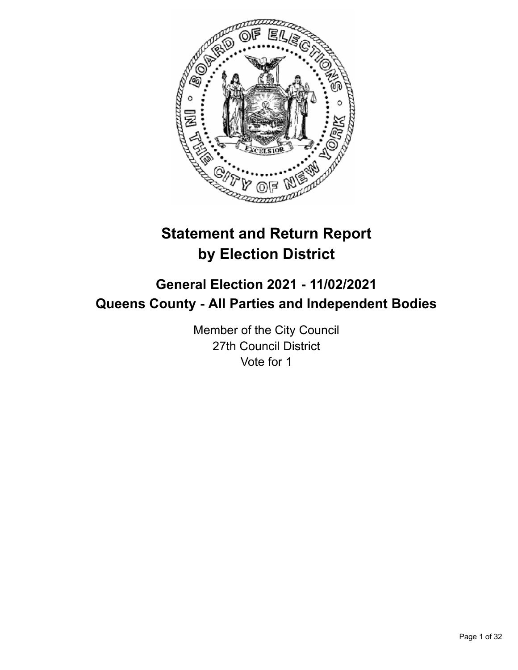

# **Statement and Return Report by Election District**

# **General Election 2021 - 11/02/2021 Queens County - All Parties and Independent Bodies**

Member of the City Council 27th Council District Vote for 1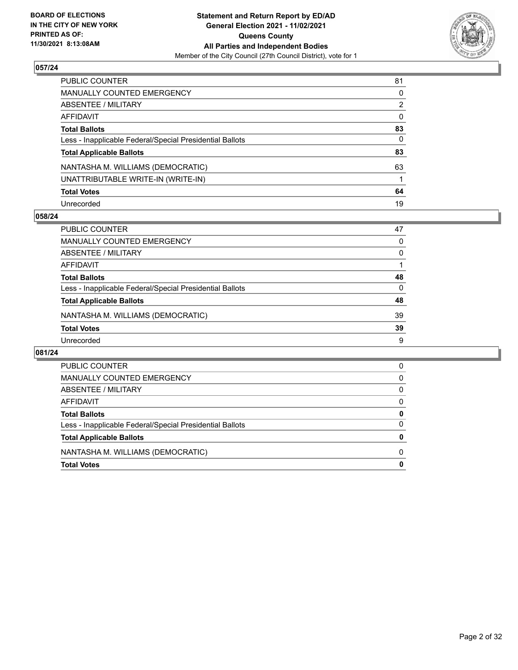

| PUBLIC COUNTER                                           | 81           |
|----------------------------------------------------------|--------------|
| MANUALLY COUNTED EMERGENCY                               | $\mathbf{0}$ |
| ABSENTEE / MILITARY                                      | 2            |
| AFFIDAVIT                                                | $\mathbf{0}$ |
| <b>Total Ballots</b>                                     | 83           |
| Less - Inapplicable Federal/Special Presidential Ballots | 0            |
| <b>Total Applicable Ballots</b>                          | 83           |
| NANTASHA M. WILLIAMS (DEMOCRATIC)                        | 63           |
| UNATTRIBUTABLE WRITE-IN (WRITE-IN)                       |              |
| <b>Total Votes</b>                                       | 64           |
| Unrecorded                                               | 19           |

## **058/24**

| <b>PUBLIC COUNTER</b>                                    | 47       |
|----------------------------------------------------------|----------|
| MANUALLY COUNTED EMERGENCY                               | 0        |
| ABSENTEE / MILITARY                                      | $\Omega$ |
| AFFIDAVIT                                                |          |
| <b>Total Ballots</b>                                     | 48       |
| Less - Inapplicable Federal/Special Presidential Ballots | 0        |
| <b>Total Applicable Ballots</b>                          | 48       |
| NANTASHA M. WILLIAMS (DEMOCRATIC)                        | 39       |
| <b>Total Votes</b>                                       | 39       |
| Unrecorded                                               | 9        |

| <b>PUBLIC COUNTER</b>                                    | 0 |
|----------------------------------------------------------|---|
| MANUALLY COUNTED EMERGENCY                               | 0 |
| ABSENTEE / MILITARY                                      | 0 |
| AFFIDAVIT                                                | 0 |
| <b>Total Ballots</b>                                     | O |
| Less - Inapplicable Federal/Special Presidential Ballots | 0 |
| <b>Total Applicable Ballots</b>                          |   |
| NANTASHA M. WILLIAMS (DEMOCRATIC)                        | 0 |
| <b>Total Votes</b>                                       |   |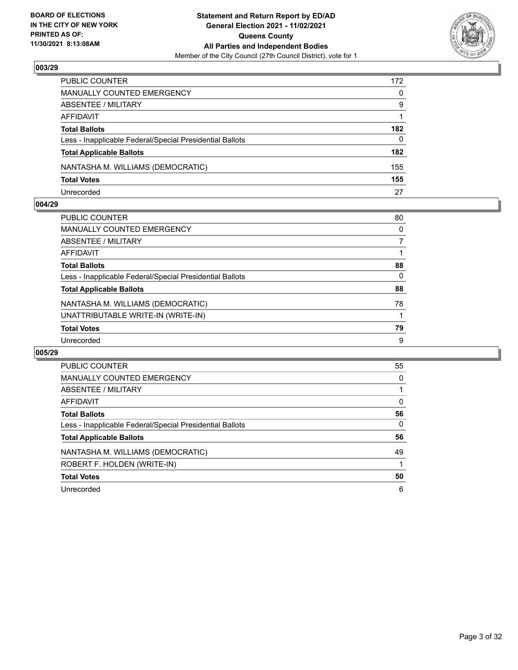

| PUBLIC COUNTER                                           | 172      |
|----------------------------------------------------------|----------|
| MANUALLY COUNTED EMERGENCY                               | $\Omega$ |
| <b>ABSENTEE / MILITARY</b>                               | 9        |
| AFFIDAVIT                                                |          |
| <b>Total Ballots</b>                                     | 182      |
| Less - Inapplicable Federal/Special Presidential Ballots | 0        |
| <b>Total Applicable Ballots</b>                          | 182      |
| NANTASHA M. WILLIAMS (DEMOCRATIC)                        | 155      |
| <b>Total Votes</b>                                       | 155      |
| Unrecorded                                               | 27       |

## **004/29**

| PUBLIC COUNTER                                           | 80       |
|----------------------------------------------------------|----------|
| <b>MANUALLY COUNTED EMERGENCY</b>                        | $\Omega$ |
| <b>ABSENTEE / MILITARY</b>                               |          |
| <b>AFFIDAVIT</b>                                         |          |
| <b>Total Ballots</b>                                     | 88       |
| Less - Inapplicable Federal/Special Presidential Ballots | 0        |
| <b>Total Applicable Ballots</b>                          | 88       |
| NANTASHA M. WILLIAMS (DEMOCRATIC)                        | 78       |
| UNATTRIBUTABLE WRITE-IN (WRITE-IN)                       |          |
| <b>Total Votes</b>                                       | 79       |
| Unrecorded                                               | 9        |
|                                                          |          |

| <b>PUBLIC COUNTER</b>                                    | 55       |
|----------------------------------------------------------|----------|
| <b>MANUALLY COUNTED EMERGENCY</b>                        | $\Omega$ |
| ABSENTEE / MILITARY                                      |          |
| AFFIDAVIT                                                | $\Omega$ |
| <b>Total Ballots</b>                                     | 56       |
| Less - Inapplicable Federal/Special Presidential Ballots | 0        |
| <b>Total Applicable Ballots</b>                          | 56       |
| NANTASHA M. WILLIAMS (DEMOCRATIC)                        | 49       |
| ROBERT F. HOLDEN (WRITE-IN)                              |          |
| <b>Total Votes</b>                                       | 50       |
| Unrecorded                                               | 6        |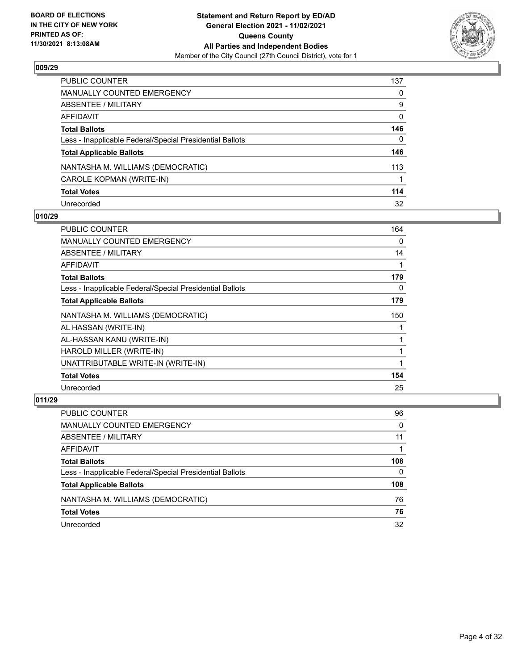

| <b>PUBLIC COUNTER</b>                                    | 137      |
|----------------------------------------------------------|----------|
| <b>MANUALLY COUNTED EMERGENCY</b>                        | 0        |
| <b>ABSENTEE / MILITARY</b>                               | 9        |
| <b>AFFIDAVIT</b>                                         | $\Omega$ |
| <b>Total Ballots</b>                                     | 146      |
| Less - Inapplicable Federal/Special Presidential Ballots | 0        |
| <b>Total Applicable Ballots</b>                          | 146      |
| NANTASHA M. WILLIAMS (DEMOCRATIC)                        | 113      |
| CAROLE KOPMAN (WRITE-IN)                                 |          |
| <b>Total Votes</b>                                       | 114      |
| Unrecorded                                               | 32       |

## **010/29**

| <b>PUBLIC COUNTER</b>                                    | 164 |
|----------------------------------------------------------|-----|
| <b>MANUALLY COUNTED EMERGENCY</b>                        | 0   |
| ABSENTEE / MILITARY                                      | 14  |
| AFFIDAVIT                                                |     |
| <b>Total Ballots</b>                                     | 179 |
| Less - Inapplicable Federal/Special Presidential Ballots | 0   |
| <b>Total Applicable Ballots</b>                          | 179 |
| NANTASHA M. WILLIAMS (DEMOCRATIC)                        | 150 |
| AL HASSAN (WRITE-IN)                                     |     |
| AL-HASSAN KANU (WRITE-IN)                                |     |
| HAROLD MILLER (WRITE-IN)                                 |     |
| UNATTRIBUTABLE WRITE-IN (WRITE-IN)                       |     |
| <b>Total Votes</b>                                       | 154 |
| Unrecorded                                               | 25  |

| <b>PUBLIC COUNTER</b>                                    | 96       |
|----------------------------------------------------------|----------|
| MANUALLY COUNTED EMERGENCY                               | $\Omega$ |
| ABSENTEE / MILITARY                                      | 11       |
| AFFIDAVIT                                                |          |
| <b>Total Ballots</b>                                     | 108      |
| Less - Inapplicable Federal/Special Presidential Ballots | 0        |
| <b>Total Applicable Ballots</b>                          | 108      |
| NANTASHA M. WILLIAMS (DEMOCRATIC)                        | 76       |
| <b>Total Votes</b>                                       | 76       |
| Unrecorded                                               | 32       |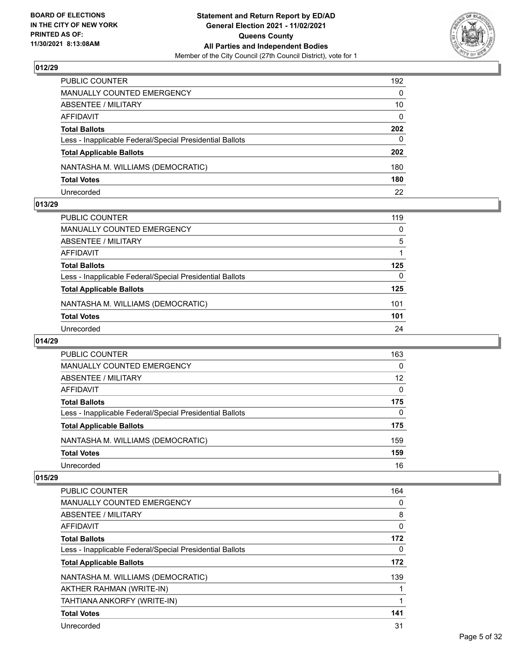

| PUBLIC COUNTER                                           | 192          |
|----------------------------------------------------------|--------------|
| <b>MANUALLY COUNTED EMERGENCY</b>                        | $\Omega$     |
| ABSENTEE / MILITARY                                      | 10           |
| AFFIDAVIT                                                | $\mathbf{0}$ |
| <b>Total Ballots</b>                                     | 202          |
| Less - Inapplicable Federal/Special Presidential Ballots | $\Omega$     |
| <b>Total Applicable Ballots</b>                          | 202          |
| NANTASHA M. WILLIAMS (DEMOCRATIC)                        | 180          |
| <b>Total Votes</b>                                       | 180          |
| Unrecorded                                               | 22           |

## **013/29**

| PUBLIC COUNTER                                           | 119 |
|----------------------------------------------------------|-----|
| <b>MANUALLY COUNTED EMERGENCY</b>                        | 0   |
| ABSENTEE / MILITARY                                      | 5   |
| AFFIDAVIT                                                |     |
| <b>Total Ballots</b>                                     | 125 |
| Less - Inapplicable Federal/Special Presidential Ballots | 0   |
| <b>Total Applicable Ballots</b>                          | 125 |
| NANTASHA M. WILLIAMS (DEMOCRATIC)                        | 101 |
| <b>Total Votes</b>                                       | 101 |
| Unrecorded                                               | 24  |
|                                                          |     |

# **014/29**

| <b>PUBLIC COUNTER</b>                                    | 163      |
|----------------------------------------------------------|----------|
| <b>MANUALLY COUNTED EMERGENCY</b>                        | $\Omega$ |
| ABSENTEE / MILITARY                                      | 12       |
| AFFIDAVIT                                                | $\Omega$ |
| <b>Total Ballots</b>                                     | 175      |
| Less - Inapplicable Federal/Special Presidential Ballots | $\Omega$ |
| <b>Total Applicable Ballots</b>                          | 175      |
| NANTASHA M. WILLIAMS (DEMOCRATIC)                        | 159      |
| <b>Total Votes</b>                                       | 159      |
| Unrecorded                                               | 16       |

| PUBLIC COUNTER                                           | 164 |
|----------------------------------------------------------|-----|
| <b>MANUALLY COUNTED EMERGENCY</b>                        | 0   |
| ABSENTEE / MILITARY                                      | 8   |
| AFFIDAVIT                                                | 0   |
| <b>Total Ballots</b>                                     | 172 |
| Less - Inapplicable Federal/Special Presidential Ballots | 0   |
| <b>Total Applicable Ballots</b>                          | 172 |
| NANTASHA M. WILLIAMS (DEMOCRATIC)                        | 139 |
| AKTHER RAHMAN (WRITE-IN)                                 |     |
| TAHTIANA ANKORFY (WRITE-IN)                              |     |
| <b>Total Votes</b>                                       | 141 |
| Unrecorded                                               | 31  |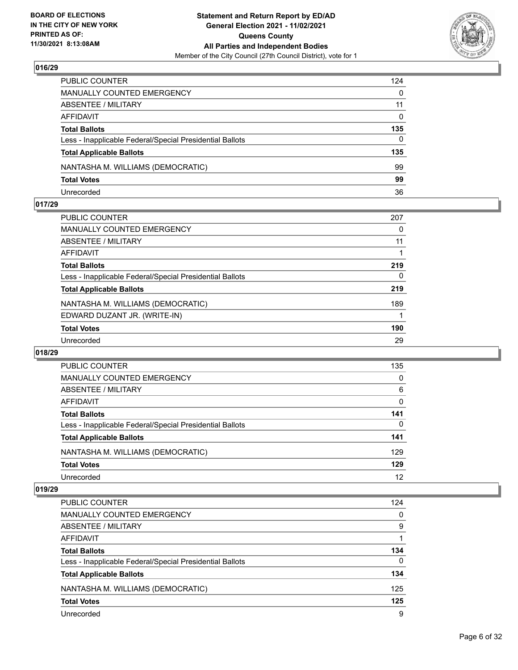

| PUBLIC COUNTER                                           | 124          |
|----------------------------------------------------------|--------------|
| <b>MANUALLY COUNTED EMERGENCY</b>                        | $\Omega$     |
| ABSENTEE / MILITARY                                      | 11           |
| AFFIDAVIT                                                | $\mathbf{0}$ |
| <b>Total Ballots</b>                                     | 135          |
| Less - Inapplicable Federal/Special Presidential Ballots | $\Omega$     |
| <b>Total Applicable Ballots</b>                          | 135          |
| NANTASHA M. WILLIAMS (DEMOCRATIC)                        | 99           |
| <b>Total Votes</b>                                       | 99           |
| Unrecorded                                               | 36           |

## **017/29**

| <b>PUBLIC COUNTER</b>                                    | 207 |
|----------------------------------------------------------|-----|
| <b>MANUALLY COUNTED EMERGENCY</b>                        | 0   |
| <b>ABSENTEE / MILITARY</b>                               | 11  |
| AFFIDAVIT                                                |     |
| <b>Total Ballots</b>                                     | 219 |
| Less - Inapplicable Federal/Special Presidential Ballots | 0   |
| <b>Total Applicable Ballots</b>                          | 219 |
| NANTASHA M. WILLIAMS (DEMOCRATIC)                        | 189 |
| EDWARD DUZANT JR. (WRITE-IN)                             |     |
| <b>Total Votes</b>                                       | 190 |
| Unrecorded                                               | 29  |
|                                                          |     |

## **018/29**

| <b>PUBLIC COUNTER</b>                                    | 135      |
|----------------------------------------------------------|----------|
| <b>MANUALLY COUNTED EMERGENCY</b>                        | $\Omega$ |
| ABSENTEE / MILITARY                                      | 6        |
| AFFIDAVIT                                                | $\Omega$ |
| <b>Total Ballots</b>                                     | 141      |
| Less - Inapplicable Federal/Special Presidential Ballots | 0        |
| <b>Total Applicable Ballots</b>                          | 141      |
| NANTASHA M. WILLIAMS (DEMOCRATIC)                        | 129      |
| <b>Total Votes</b>                                       | 129      |
| Unrecorded                                               | 12       |

| <b>PUBLIC COUNTER</b>                                    | 124      |
|----------------------------------------------------------|----------|
| <b>MANUALLY COUNTED EMERGENCY</b>                        | 0        |
| ABSENTEE / MILITARY                                      | 9        |
| AFFIDAVIT                                                |          |
| <b>Total Ballots</b>                                     | 134      |
| Less - Inapplicable Federal/Special Presidential Ballots | $\Omega$ |
| <b>Total Applicable Ballots</b>                          | 134      |
| NANTASHA M. WILLIAMS (DEMOCRATIC)                        | 125      |
| <b>Total Votes</b>                                       | 125      |
| Unrecorded                                               | 9        |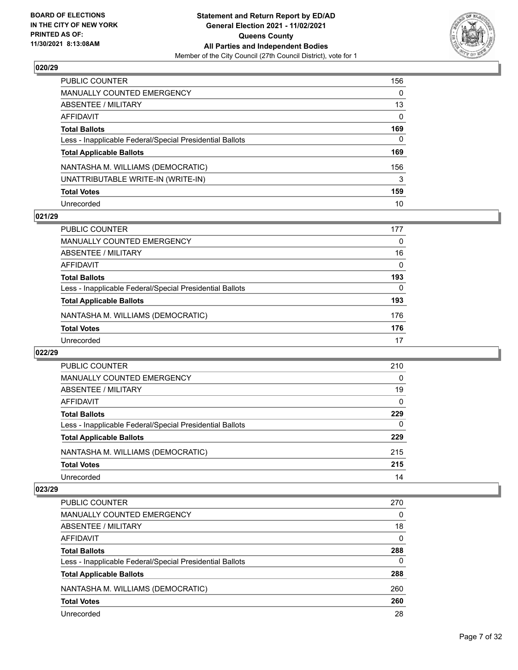

| PUBLIC COUNTER                                           | 156      |
|----------------------------------------------------------|----------|
| <b>MANUALLY COUNTED EMERGENCY</b>                        | 0        |
| <b>ABSENTEE / MILITARY</b>                               | 13       |
| AFFIDAVIT                                                | $\Omega$ |
| <b>Total Ballots</b>                                     | 169      |
| Less - Inapplicable Federal/Special Presidential Ballots | 0        |
| <b>Total Applicable Ballots</b>                          | 169      |
| NANTASHA M. WILLIAMS (DEMOCRATIC)                        | 156      |
| UNATTRIBUTABLE WRITE-IN (WRITE-IN)                       | 3        |
| <b>Total Votes</b>                                       | 159      |
| Unrecorded                                               | 10       |

## **021/29**

| <b>PUBLIC COUNTER</b>                                    | 177      |
|----------------------------------------------------------|----------|
| <b>MANUALLY COUNTED EMERGENCY</b>                        | 0        |
| ABSENTEE / MILITARY                                      | 16       |
| AFFIDAVIT                                                | $\Omega$ |
| <b>Total Ballots</b>                                     | 193      |
| Less - Inapplicable Federal/Special Presidential Ballots | $\Omega$ |
| <b>Total Applicable Ballots</b>                          | 193      |
| NANTASHA M. WILLIAMS (DEMOCRATIC)                        | 176      |
| <b>Total Votes</b>                                       | 176      |
| Unrecorded                                               | 17       |

## **022/29**

| <b>PUBLIC COUNTER</b>                                    | 210      |
|----------------------------------------------------------|----------|
| <b>MANUALLY COUNTED EMERGENCY</b>                        | $\Omega$ |
| ABSENTEE / MILITARY                                      | 19       |
| AFFIDAVIT                                                | $\Omega$ |
| <b>Total Ballots</b>                                     | 229      |
| Less - Inapplicable Federal/Special Presidential Ballots | $\Omega$ |
| <b>Total Applicable Ballots</b>                          | 229      |
| NANTASHA M. WILLIAMS (DEMOCRATIC)                        | 215      |
| <b>Total Votes</b>                                       | 215      |
| Unrecorded                                               | 14       |

| <b>PUBLIC COUNTER</b>                                    | 270 |
|----------------------------------------------------------|-----|
| MANUALLY COUNTED EMERGENCY                               | 0   |
| ABSENTEE / MILITARY                                      | 18  |
| AFFIDAVIT                                                | 0   |
| <b>Total Ballots</b>                                     | 288 |
| Less - Inapplicable Federal/Special Presidential Ballots | 0   |
| <b>Total Applicable Ballots</b>                          | 288 |
| NANTASHA M. WILLIAMS (DEMOCRATIC)                        | 260 |
| <b>Total Votes</b>                                       | 260 |
| Unrecorded                                               | 28  |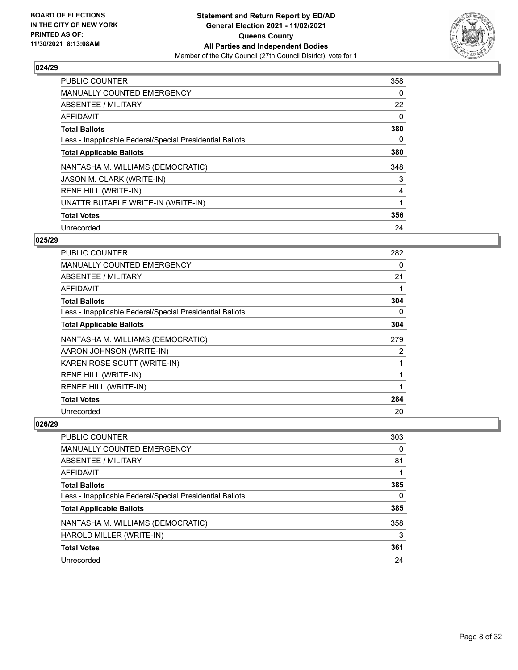

| <b>PUBLIC COUNTER</b>                                    | 358 |
|----------------------------------------------------------|-----|
| <b>MANUALLY COUNTED EMERGENCY</b>                        | 0   |
| ABSENTEE / MILITARY                                      | 22  |
| <b>AFFIDAVIT</b>                                         | 0   |
| <b>Total Ballots</b>                                     | 380 |
| Less - Inapplicable Federal/Special Presidential Ballots | 0   |
| <b>Total Applicable Ballots</b>                          | 380 |
| NANTASHA M. WILLIAMS (DEMOCRATIC)                        | 348 |
| JASON M. CLARK (WRITE-IN)                                | 3   |
| RENE HILL (WRITE-IN)                                     | 4   |
| UNATTRIBUTABLE WRITE-IN (WRITE-IN)                       |     |
| <b>Total Votes</b>                                       | 356 |
| Unrecorded                                               | 24  |

## **025/29**

| PUBLIC COUNTER                                           | 282 |
|----------------------------------------------------------|-----|
| <b>MANUALLY COUNTED EMERGENCY</b>                        | 0   |
| ABSENTEE / MILITARY                                      | 21  |
| AFFIDAVIT                                                |     |
| <b>Total Ballots</b>                                     | 304 |
| Less - Inapplicable Federal/Special Presidential Ballots | 0   |
| <b>Total Applicable Ballots</b>                          | 304 |
| NANTASHA M. WILLIAMS (DEMOCRATIC)                        | 279 |
| AARON JOHNSON (WRITE-IN)                                 | 2   |
| KAREN ROSE SCUTT (WRITE-IN)                              | 1   |
| RENE HILL (WRITE-IN)                                     | 1   |
| RENEE HILL (WRITE-IN)                                    | 1   |
| <b>Total Votes</b>                                       | 284 |
| Unrecorded                                               | 20  |

| <b>PUBLIC COUNTER</b>                                    | 303      |
|----------------------------------------------------------|----------|
| MANUALLY COUNTED EMERGENCY                               | $\Omega$ |
| ABSENTEE / MILITARY                                      | 81       |
| AFFIDAVIT                                                |          |
| <b>Total Ballots</b>                                     | 385      |
| Less - Inapplicable Federal/Special Presidential Ballots | 0        |
| <b>Total Applicable Ballots</b>                          | 385      |
| NANTASHA M. WILLIAMS (DEMOCRATIC)                        | 358      |
| HAROLD MILLER (WRITE-IN)                                 | 3        |
| <b>Total Votes</b>                                       | 361      |
| Unrecorded                                               | 24       |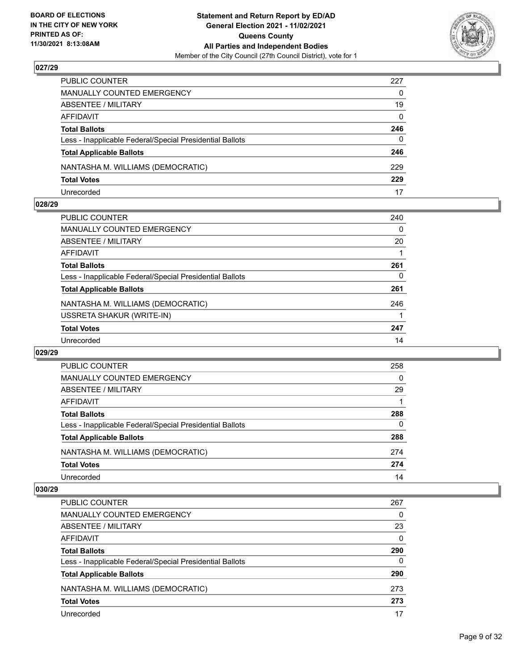

| PUBLIC COUNTER                                           | 227          |
|----------------------------------------------------------|--------------|
| MANUALLY COUNTED EMERGENCY                               | $\mathbf{0}$ |
| ABSENTEE / MILITARY                                      | 19           |
| AFFIDAVIT                                                | $\Omega$     |
| <b>Total Ballots</b>                                     | 246          |
| Less - Inapplicable Federal/Special Presidential Ballots | $\mathbf{0}$ |
| <b>Total Applicable Ballots</b>                          | 246          |
| NANTASHA M. WILLIAMS (DEMOCRATIC)                        | 229          |
| <b>Total Votes</b>                                       | 229          |
| Unrecorded                                               | 17           |

## **028/29**

| <b>PUBLIC COUNTER</b>                                    | 240 |
|----------------------------------------------------------|-----|
| MANUALLY COUNTED EMERGENCY                               | 0   |
| ABSENTEE / MILITARY                                      | 20  |
| AFFIDAVIT                                                |     |
| <b>Total Ballots</b>                                     | 261 |
| Less - Inapplicable Federal/Special Presidential Ballots | 0   |
| <b>Total Applicable Ballots</b>                          | 261 |
| NANTASHA M. WILLIAMS (DEMOCRATIC)                        | 246 |
| USSRETA SHAKUR (WRITE-IN)                                |     |
| <b>Total Votes</b>                                       | 247 |
| Unrecorded                                               | 14  |
|                                                          |     |

## **029/29**

| <b>PUBLIC COUNTER</b>                                    | 258      |
|----------------------------------------------------------|----------|
| <b>MANUALLY COUNTED EMERGENCY</b>                        | $\Omega$ |
| ABSENTEE / MILITARY                                      | 29       |
| AFFIDAVIT                                                |          |
| <b>Total Ballots</b>                                     | 288      |
| Less - Inapplicable Federal/Special Presidential Ballots | $\Omega$ |
| <b>Total Applicable Ballots</b>                          | 288      |
| NANTASHA M. WILLIAMS (DEMOCRATIC)                        | 274      |
| <b>Total Votes</b>                                       | 274      |
| Unrecorded                                               | 14       |

| <b>PUBLIC COUNTER</b>                                    | 267      |
|----------------------------------------------------------|----------|
| MANUALLY COUNTED EMERGENCY                               | 0        |
| ABSENTEE / MILITARY                                      | 23       |
| AFFIDAVIT                                                | $\Omega$ |
| <b>Total Ballots</b>                                     | 290      |
| Less - Inapplicable Federal/Special Presidential Ballots | 0        |
| <b>Total Applicable Ballots</b>                          | 290      |
| NANTASHA M. WILLIAMS (DEMOCRATIC)                        | 273      |
| <b>Total Votes</b>                                       | 273      |
| Unrecorded                                               | 17       |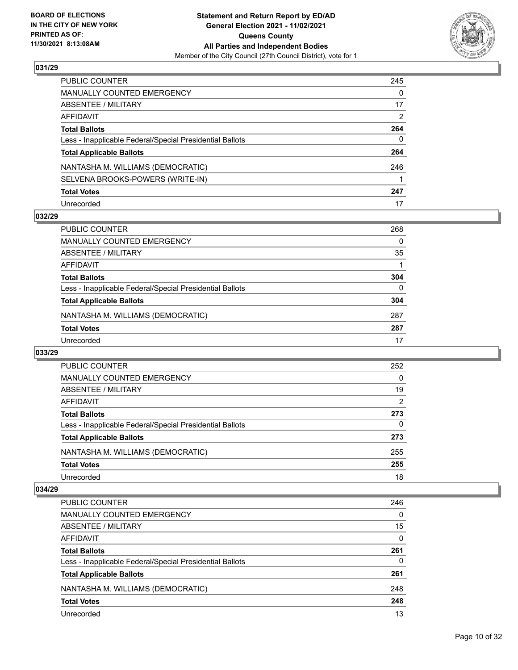

| PUBLIC COUNTER                                           | 245           |
|----------------------------------------------------------|---------------|
| <b>MANUALLY COUNTED EMERGENCY</b>                        | 0             |
| ABSENTEE / MILITARY                                      | 17            |
| AFFIDAVIT                                                | $\mathcal{P}$ |
| <b>Total Ballots</b>                                     | 264           |
| Less - Inapplicable Federal/Special Presidential Ballots | $\mathbf{0}$  |
| <b>Total Applicable Ballots</b>                          | 264           |
| NANTASHA M. WILLIAMS (DEMOCRATIC)                        | 246           |
| SELVENA BROOKS-POWERS (WRITE-IN)                         |               |
| <b>Total Votes</b>                                       | 247           |
| Unrecorded                                               | 17            |

## **032/29**

| <b>PUBLIC COUNTER</b>                                    | 268      |
|----------------------------------------------------------|----------|
| MANUALLY COUNTED EMERGENCY                               | 0        |
| ABSENTEE / MILITARY                                      | 35       |
| AFFIDAVIT                                                |          |
| <b>Total Ballots</b>                                     | 304      |
| Less - Inapplicable Federal/Special Presidential Ballots | $\Omega$ |
| <b>Total Applicable Ballots</b>                          | 304      |
| NANTASHA M. WILLIAMS (DEMOCRATIC)                        | 287      |
| <b>Total Votes</b>                                       | 287      |
| Unrecorded                                               | 17       |

## **033/29**

| <b>PUBLIC COUNTER</b>                                    | 252      |
|----------------------------------------------------------|----------|
| <b>MANUALLY COUNTED EMERGENCY</b>                        | 0        |
| ABSENTEE / MILITARY                                      | 19       |
| AFFIDAVIT                                                | 2        |
| <b>Total Ballots</b>                                     | 273      |
| Less - Inapplicable Federal/Special Presidential Ballots | $\Omega$ |
| <b>Total Applicable Ballots</b>                          | 273      |
| NANTASHA M. WILLIAMS (DEMOCRATIC)                        | 255      |
| <b>Total Votes</b>                                       | 255      |
| Unrecorded                                               | 18       |

| PUBLIC COUNTER                                           | 246      |
|----------------------------------------------------------|----------|
| <b>MANUALLY COUNTED EMERGENCY</b>                        | $\Omega$ |
| ABSENTEE / MILITARY                                      | 15       |
| AFFIDAVIT                                                | $\Omega$ |
| <b>Total Ballots</b>                                     | 261      |
| Less - Inapplicable Federal/Special Presidential Ballots | 0        |
| <b>Total Applicable Ballots</b>                          | 261      |
| NANTASHA M. WILLIAMS (DEMOCRATIC)                        | 248      |
| <b>Total Votes</b>                                       | 248      |
| Unrecorded                                               | 13       |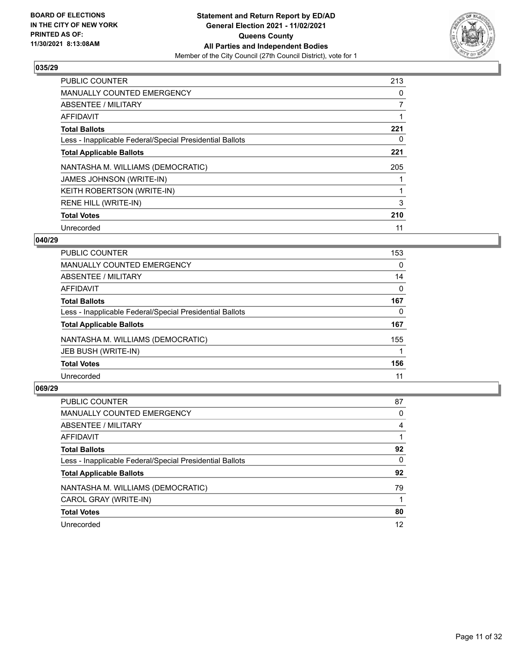

| <b>PUBLIC COUNTER</b>                                    | 213 |
|----------------------------------------------------------|-----|
| <b>MANUALLY COUNTED EMERGENCY</b>                        | 0   |
| ABSENTEE / MILITARY                                      | 7   |
| AFFIDAVIT                                                |     |
| <b>Total Ballots</b>                                     | 221 |
| Less - Inapplicable Federal/Special Presidential Ballots | 0   |
| <b>Total Applicable Ballots</b>                          | 221 |
| NANTASHA M. WILLIAMS (DEMOCRATIC)                        | 205 |
| <b>JAMES JOHNSON (WRITE-IN)</b>                          |     |
| <b>KEITH ROBERTSON (WRITE-IN)</b>                        |     |
| RENE HILL (WRITE-IN)                                     | 3   |
| <b>Total Votes</b>                                       | 210 |
| Unrecorded                                               | 11  |

## **040/29**

| <b>PUBLIC COUNTER</b>                                    | 153      |
|----------------------------------------------------------|----------|
| <b>MANUALLY COUNTED EMERGENCY</b>                        | 0        |
| ABSENTEE / MILITARY                                      | 14       |
| AFFIDAVIT                                                | $\Omega$ |
| <b>Total Ballots</b>                                     | 167      |
| Less - Inapplicable Federal/Special Presidential Ballots | 0        |
| <b>Total Applicable Ballots</b>                          | 167      |
| NANTASHA M. WILLIAMS (DEMOCRATIC)                        | 155      |
| <b>JEB BUSH (WRITE-IN)</b>                               |          |
| <b>Total Votes</b>                                       | 156      |
| Unrecorded                                               | 11       |
|                                                          |          |

| <b>PUBLIC COUNTER</b>                                    | 87       |
|----------------------------------------------------------|----------|
| <b>MANUALLY COUNTED EMERGENCY</b>                        | 0        |
| ABSENTEE / MILITARY                                      | 4        |
| AFFIDAVIT                                                |          |
| <b>Total Ballots</b>                                     | 92       |
| Less - Inapplicable Federal/Special Presidential Ballots | $\Omega$ |
| <b>Total Applicable Ballots</b>                          | 92       |
| NANTASHA M. WILLIAMS (DEMOCRATIC)                        | 79       |
| CAROL GRAY (WRITE-IN)                                    |          |
| <b>Total Votes</b>                                       | 80       |
| Unrecorded                                               | 12       |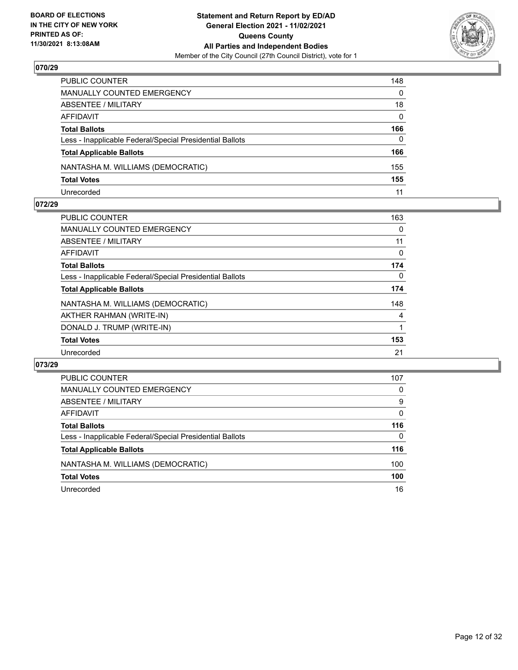

| PUBLIC COUNTER                                           | 148      |
|----------------------------------------------------------|----------|
| MANUALLY COUNTED EMERGENCY                               | $\Omega$ |
| <b>ABSENTEE / MILITARY</b>                               | 18       |
| AFFIDAVIT                                                | $\Omega$ |
| <b>Total Ballots</b>                                     | 166      |
| Less - Inapplicable Federal/Special Presidential Ballots | $\Omega$ |
| <b>Total Applicable Ballots</b>                          | 166      |
| NANTASHA M. WILLIAMS (DEMOCRATIC)                        | 155      |
| <b>Total Votes</b>                                       | 155      |
| Unrecorded                                               | 11       |

## **072/29**

| <b>PUBLIC COUNTER</b>                                    | 163 |
|----------------------------------------------------------|-----|
| <b>MANUALLY COUNTED EMERGENCY</b>                        | 0   |
| ABSENTEE / MILITARY                                      | 11  |
| AFFIDAVIT                                                | 0   |
| <b>Total Ballots</b>                                     | 174 |
| Less - Inapplicable Federal/Special Presidential Ballots | 0   |
| <b>Total Applicable Ballots</b>                          | 174 |
| NANTASHA M. WILLIAMS (DEMOCRATIC)                        | 148 |
| AKTHER RAHMAN (WRITE-IN)                                 | 4   |
| DONALD J. TRUMP (WRITE-IN)                               |     |
| <b>Total Votes</b>                                       | 153 |
| Unrecorded                                               | 21  |
|                                                          |     |

| PUBLIC COUNTER                                           | 107      |
|----------------------------------------------------------|----------|
| <b>MANUALLY COUNTED EMERGENCY</b>                        | 0        |
| ABSENTEE / MILITARY                                      | 9        |
| AFFIDAVIT                                                | $\Omega$ |
| <b>Total Ballots</b>                                     | 116      |
| Less - Inapplicable Federal/Special Presidential Ballots | $\Omega$ |
| <b>Total Applicable Ballots</b>                          | 116      |
| NANTASHA M. WILLIAMS (DEMOCRATIC)                        | 100      |
| <b>Total Votes</b>                                       | 100      |
| Unrecorded                                               | 16       |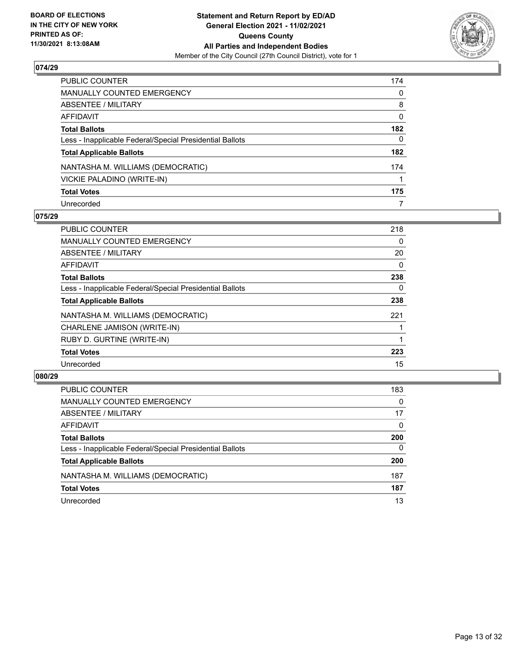

| PUBLIC COUNTER                                           | 174      |
|----------------------------------------------------------|----------|
| <b>MANUALLY COUNTED EMERGENCY</b>                        | 0        |
| ABSENTEE / MILITARY                                      | 8        |
| AFFIDAVIT                                                | $\Omega$ |
| <b>Total Ballots</b>                                     | 182      |
| Less - Inapplicable Federal/Special Presidential Ballots | 0        |
| <b>Total Applicable Ballots</b>                          | 182      |
| NANTASHA M. WILLIAMS (DEMOCRATIC)                        | 174      |
| VICKIE PALADINO (WRITE-IN)                               |          |
| <b>Total Votes</b>                                       | 175      |
| Unrecorded                                               | 7        |

## **075/29**

| <b>PUBLIC COUNTER</b>                                    | 218 |
|----------------------------------------------------------|-----|
| <b>MANUALLY COUNTED EMERGENCY</b>                        | 0   |
| ABSENTEE / MILITARY                                      | 20  |
| AFFIDAVIT                                                | 0   |
| <b>Total Ballots</b>                                     | 238 |
| Less - Inapplicable Federal/Special Presidential Ballots | 0   |
| <b>Total Applicable Ballots</b>                          | 238 |
| NANTASHA M. WILLIAMS (DEMOCRATIC)                        | 221 |
| CHARLENE JAMISON (WRITE-IN)                              |     |
| RUBY D. GURTINE (WRITE-IN)                               |     |
| <b>Total Votes</b>                                       | 223 |
| Unrecorded                                               | 15  |

| <b>PUBLIC COUNTER</b>                                    | 183      |
|----------------------------------------------------------|----------|
| MANUALLY COUNTED EMERGENCY                               | $\Omega$ |
| ABSENTEE / MILITARY                                      | 17       |
| AFFIDAVIT                                                | $\Omega$ |
| <b>Total Ballots</b>                                     | 200      |
| Less - Inapplicable Federal/Special Presidential Ballots | $\Omega$ |
| <b>Total Applicable Ballots</b>                          | 200      |
| NANTASHA M. WILLIAMS (DEMOCRATIC)                        | 187      |
| <b>Total Votes</b>                                       | 187      |
| Unrecorded                                               | 13       |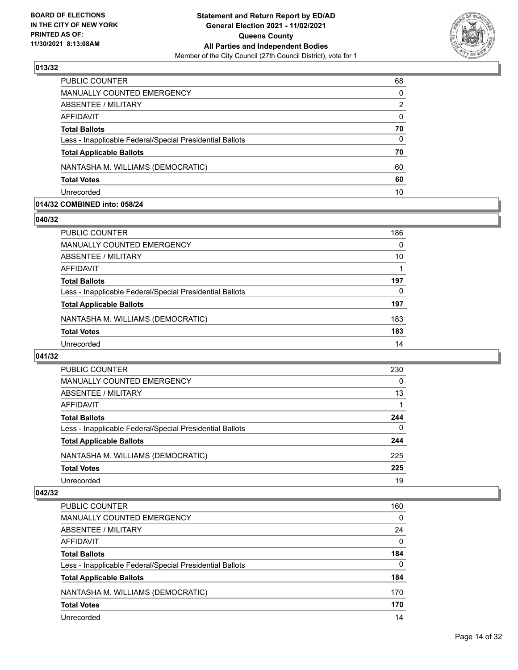

| <b>PUBLIC COUNTER</b>                                    | 68       |
|----------------------------------------------------------|----------|
| <b>MANUALLY COUNTED EMERGENCY</b>                        | $\Omega$ |
| ABSENTEE / MILITARY                                      | 2        |
| AFFIDAVIT                                                | $\Omega$ |
| <b>Total Ballots</b>                                     | 70       |
| Less - Inapplicable Federal/Special Presidential Ballots | $\Omega$ |
| <b>Total Applicable Ballots</b>                          | 70       |
| NANTASHA M. WILLIAMS (DEMOCRATIC)                        | 60       |
| <b>Total Votes</b>                                       | 60       |
| Unrecorded                                               | 10       |

## **014/32 COMBINED into: 058/24**

#### **040/32**

| PUBLIC COUNTER                                           | 186 |
|----------------------------------------------------------|-----|
| <b>MANUALLY COUNTED EMERGENCY</b>                        | 0   |
| ABSENTEE / MILITARY                                      | 10  |
| AFFIDAVIT                                                |     |
| <b>Total Ballots</b>                                     | 197 |
| Less - Inapplicable Federal/Special Presidential Ballots | 0   |
| <b>Total Applicable Ballots</b>                          | 197 |
| NANTASHA M. WILLIAMS (DEMOCRATIC)                        | 183 |
| <b>Total Votes</b>                                       | 183 |
| Unrecorded                                               | 14  |

# **041/32**

| <b>PUBLIC COUNTER</b>                                    | 230      |
|----------------------------------------------------------|----------|
| <b>MANUALLY COUNTED EMERGENCY</b>                        | 0        |
| ABSENTEE / MILITARY                                      | 13       |
| AFFIDAVIT                                                |          |
| <b>Total Ballots</b>                                     | 244      |
| Less - Inapplicable Federal/Special Presidential Ballots | $\Omega$ |
| <b>Total Applicable Ballots</b>                          | 244      |
| NANTASHA M. WILLIAMS (DEMOCRATIC)                        | 225      |
| <b>Total Votes</b>                                       | 225      |
| Unrecorded                                               | 19       |

| PUBLIC COUNTER                                           | 160      |
|----------------------------------------------------------|----------|
| <b>MANUALLY COUNTED EMERGENCY</b>                        | $\Omega$ |
| ABSENTEE / MILITARY                                      | 24       |
| AFFIDAVIT                                                | $\Omega$ |
| <b>Total Ballots</b>                                     | 184      |
| Less - Inapplicable Federal/Special Presidential Ballots | $\Omega$ |
| <b>Total Applicable Ballots</b>                          | 184      |
| NANTASHA M. WILLIAMS (DEMOCRATIC)                        | 170      |
| <b>Total Votes</b>                                       | 170      |
| Unrecorded                                               | 14       |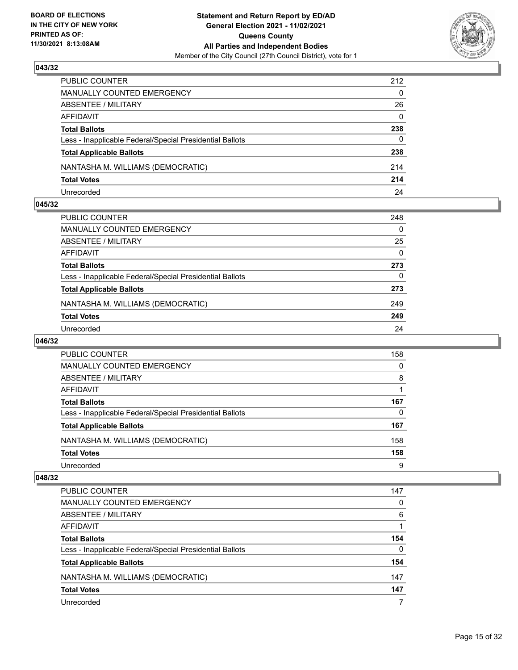

| PUBLIC COUNTER                                           | 212      |
|----------------------------------------------------------|----------|
| <b>MANUALLY COUNTED EMERGENCY</b>                        | $\Omega$ |
| ABSENTEE / MILITARY                                      | 26       |
| AFFIDAVIT                                                | $\Omega$ |
| <b>Total Ballots</b>                                     | 238      |
| Less - Inapplicable Federal/Special Presidential Ballots | 0        |
| <b>Total Applicable Ballots</b>                          | 238      |
| NANTASHA M. WILLIAMS (DEMOCRATIC)                        | 214      |
| <b>Total Votes</b>                                       | 214      |
| Unrecorded                                               | 24       |

## **045/32**

| PUBLIC COUNTER                                           | 248      |
|----------------------------------------------------------|----------|
| <b>MANUALLY COUNTED EMERGENCY</b>                        | $\Omega$ |
| <b>ABSENTEE / MILITARY</b>                               | 25       |
| AFFIDAVIT                                                | $\Omega$ |
| <b>Total Ballots</b>                                     | 273      |
| Less - Inapplicable Federal/Special Presidential Ballots | 0        |
| <b>Total Applicable Ballots</b>                          | 273      |
| NANTASHA M. WILLIAMS (DEMOCRATIC)                        | 249      |
| <b>Total Votes</b>                                       | 249      |
| Unrecorded                                               | 24       |
|                                                          |          |

## **046/32**

| <b>PUBLIC COUNTER</b>                                    | 158 |
|----------------------------------------------------------|-----|
| <b>MANUALLY COUNTED EMERGENCY</b>                        | 0   |
| ABSENTEE / MILITARY                                      | 8   |
| AFFIDAVIT                                                |     |
| <b>Total Ballots</b>                                     | 167 |
| Less - Inapplicable Federal/Special Presidential Ballots | 0   |
| <b>Total Applicable Ballots</b>                          | 167 |
| NANTASHA M. WILLIAMS (DEMOCRATIC)                        | 158 |
| <b>Total Votes</b>                                       | 158 |
| Unrecorded                                               | 9   |

| PUBLIC COUNTER                                           | 147 |
|----------------------------------------------------------|-----|
| <b>MANUALLY COUNTED EMERGENCY</b>                        | 0   |
| ABSENTEE / MILITARY                                      | 6   |
| AFFIDAVIT                                                |     |
| <b>Total Ballots</b>                                     | 154 |
| Less - Inapplicable Federal/Special Presidential Ballots | 0   |
| <b>Total Applicable Ballots</b>                          | 154 |
| NANTASHA M. WILLIAMS (DEMOCRATIC)                        | 147 |
| <b>Total Votes</b>                                       | 147 |
| Unrecorded                                               |     |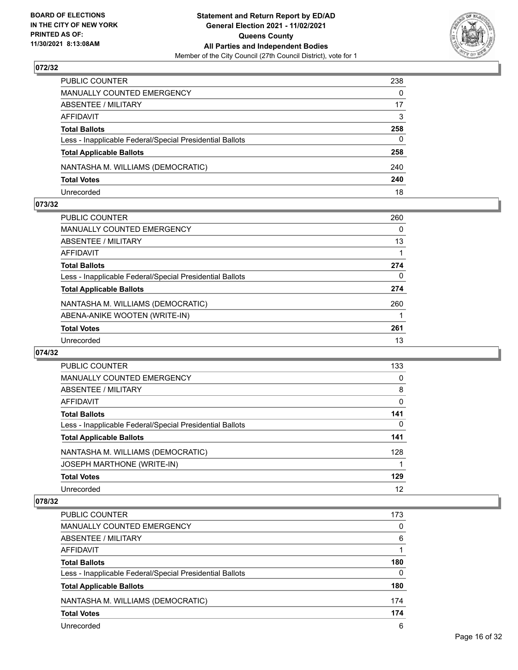

| PUBLIC COUNTER                                           | 238          |
|----------------------------------------------------------|--------------|
| MANUALLY COUNTED EMERGENCY                               | $\Omega$     |
| <b>ABSENTEE / MILITARY</b>                               | 17           |
| AFFIDAVIT                                                | 3            |
| <b>Total Ballots</b>                                     | 258          |
| Less - Inapplicable Federal/Special Presidential Ballots | $\mathbf{0}$ |
| <b>Total Applicable Ballots</b>                          | 258          |
| NANTASHA M. WILLIAMS (DEMOCRATIC)                        | 240          |
| <b>Total Votes</b>                                       | 240          |
| Unrecorded                                               | 18           |

## **073/32**

| <b>PUBLIC COUNTER</b>                                    | 260      |
|----------------------------------------------------------|----------|
| MANUALLY COUNTED EMERGENCY                               | 0        |
| ABSENTEE / MILITARY                                      | 13       |
| AFFIDAVIT                                                |          |
| <b>Total Ballots</b>                                     | 274      |
| Less - Inapplicable Federal/Special Presidential Ballots | $\Omega$ |
| <b>Total Applicable Ballots</b>                          | 274      |
| NANTASHA M. WILLIAMS (DEMOCRATIC)                        | 260      |
| ABENA-ANIKE WOOTEN (WRITE-IN)                            |          |
| <b>Total Votes</b>                                       | 261      |
| Unrecorded                                               | 13       |
|                                                          |          |

## **074/32**

| <b>PUBLIC COUNTER</b>                                    | 133 |
|----------------------------------------------------------|-----|
| <b>MANUALLY COUNTED EMERGENCY</b>                        | 0   |
| ABSENTEE / MILITARY                                      | 8   |
| AFFIDAVIT                                                | 0   |
| <b>Total Ballots</b>                                     | 141 |
| Less - Inapplicable Federal/Special Presidential Ballots | 0   |
| <b>Total Applicable Ballots</b>                          | 141 |
| NANTASHA M. WILLIAMS (DEMOCRATIC)                        | 128 |
| <b>JOSEPH MARTHONE (WRITE-IN)</b>                        |     |
| <b>Total Votes</b>                                       | 129 |
| Unrecorded                                               | 12  |

| <b>PUBLIC COUNTER</b>                                    | 173      |
|----------------------------------------------------------|----------|
| MANUALLY COUNTED EMERGENCY                               | 0        |
| ABSENTEE / MILITARY                                      | 6        |
| AFFIDAVIT                                                |          |
| <b>Total Ballots</b>                                     | 180      |
| Less - Inapplicable Federal/Special Presidential Ballots | $\Omega$ |
| <b>Total Applicable Ballots</b>                          | 180      |
| NANTASHA M. WILLIAMS (DEMOCRATIC)                        | 174      |
| <b>Total Votes</b>                                       | 174      |
| Unrecorded                                               | 6        |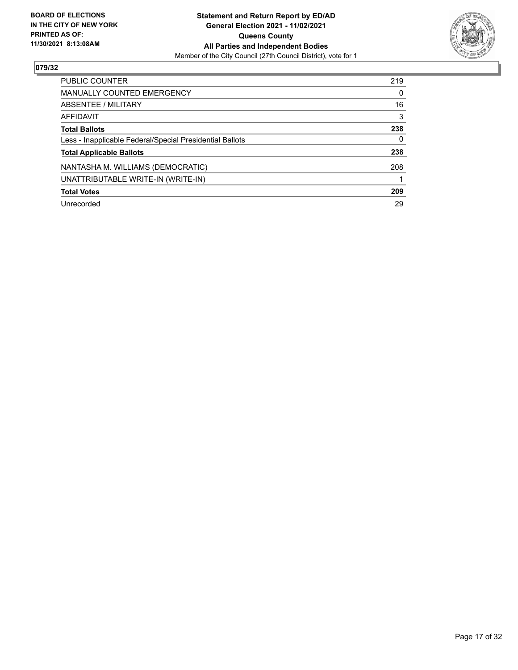

| <b>PUBLIC COUNTER</b>                                    | 219      |
|----------------------------------------------------------|----------|
| MANUALLY COUNTED EMERGENCY                               | $\Omega$ |
| ABSENTEE / MILITARY                                      | 16       |
| AFFIDAVIT                                                | 3        |
| <b>Total Ballots</b>                                     | 238      |
| Less - Inapplicable Federal/Special Presidential Ballots | 0        |
| <b>Total Applicable Ballots</b>                          | 238      |
| NANTASHA M. WILLIAMS (DEMOCRATIC)                        | 208      |
| UNATTRIBUTABLE WRITE-IN (WRITE-IN)                       |          |
| <b>Total Votes</b>                                       | 209      |
| Unrecorded                                               | 29       |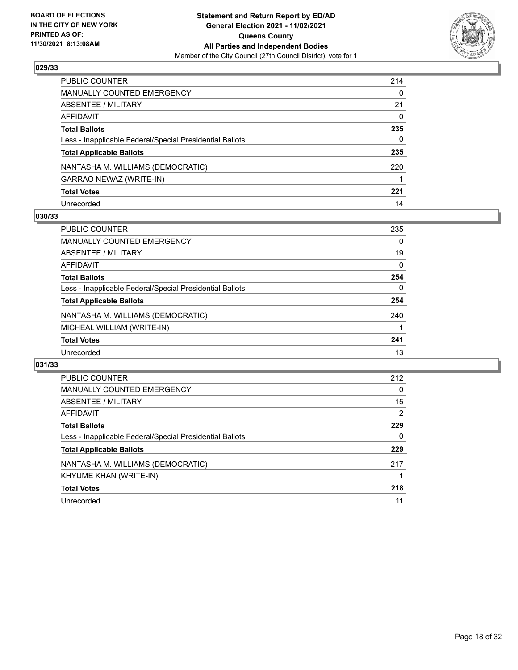

| PUBLIC COUNTER                                           | 214 |
|----------------------------------------------------------|-----|
| MANUALLY COUNTED EMERGENCY                               | 0   |
| ABSENTEE / MILITARY                                      | 21  |
| AFFIDAVIT                                                | 0   |
| Total Ballots                                            | 235 |
| Less - Inapplicable Federal/Special Presidential Ballots | 0   |
| <b>Total Applicable Ballots</b>                          | 235 |
| NANTASHA M. WILLIAMS (DEMOCRATIC)                        | 220 |
| GARRAO NEWAZ (WRITE-IN)                                  |     |
| <b>Total Votes</b>                                       | 221 |
| Unrecorded                                               | 14  |

## **030/33**

| PUBLIC COUNTER                                           | 235      |
|----------------------------------------------------------|----------|
| <b>MANUALLY COUNTED EMERGENCY</b>                        | 0        |
| ABSENTEE / MILITARY                                      | 19       |
| AFFIDAVIT                                                | $\Omega$ |
| <b>Total Ballots</b>                                     | 254      |
| Less - Inapplicable Federal/Special Presidential Ballots | $\Omega$ |
| <b>Total Applicable Ballots</b>                          | 254      |
| NANTASHA M. WILLIAMS (DEMOCRATIC)                        | 240      |
| MICHEAL WILLIAM (WRITE-IN)                               |          |
| <b>Total Votes</b>                                       | 241      |
| Unrecorded                                               | 13       |

| <b>PUBLIC COUNTER</b>                                    | 212      |
|----------------------------------------------------------|----------|
| <b>MANUALLY COUNTED EMERGENCY</b>                        | $\Omega$ |
| ABSENTEE / MILITARY                                      | 15       |
| <b>AFFIDAVIT</b>                                         | 2        |
| <b>Total Ballots</b>                                     | 229      |
| Less - Inapplicable Federal/Special Presidential Ballots | 0        |
| <b>Total Applicable Ballots</b>                          | 229      |
| NANTASHA M. WILLIAMS (DEMOCRATIC)                        | 217      |
| KHYUME KHAN (WRITE-IN)                                   |          |
| <b>Total Votes</b>                                       | 218      |
| Unrecorded                                               | 11       |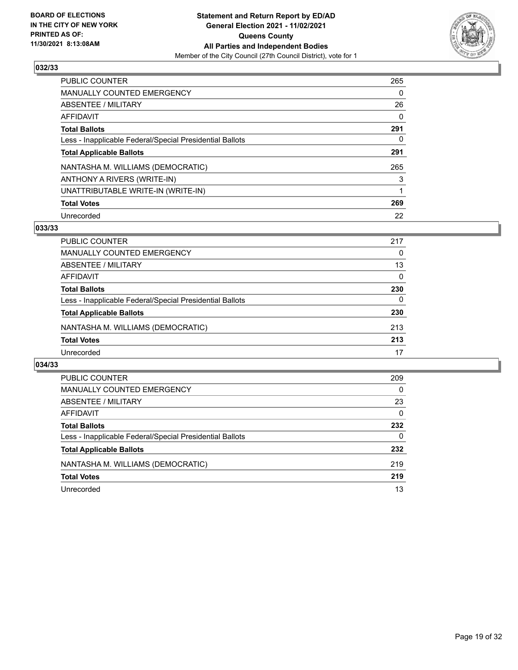

| PUBLIC COUNTER                                           | 265      |
|----------------------------------------------------------|----------|
| <b>MANUALLY COUNTED EMERGENCY</b>                        | 0        |
| ABSENTEE / MILITARY                                      | 26       |
| AFFIDAVIT                                                | $\Omega$ |
| <b>Total Ballots</b>                                     | 291      |
| Less - Inapplicable Federal/Special Presidential Ballots | 0        |
| <b>Total Applicable Ballots</b>                          | 291      |
| NANTASHA M. WILLIAMS (DEMOCRATIC)                        | 265      |
| ANTHONY A RIVERS (WRITE-IN)                              | 3        |
| UNATTRIBUTABLE WRITE-IN (WRITE-IN)                       |          |
| <b>Total Votes</b>                                       | 269      |
| Unrecorded                                               | 22       |

## **033/33**

| PUBLIC COUNTER                                           | 217      |
|----------------------------------------------------------|----------|
| <b>MANUALLY COUNTED EMERGENCY</b>                        | 0        |
| ABSENTEE / MILITARY                                      | 13       |
| AFFIDAVIT                                                | $\Omega$ |
| <b>Total Ballots</b>                                     | 230      |
| Less - Inapplicable Federal/Special Presidential Ballots | $\Omega$ |
| <b>Total Applicable Ballots</b>                          | 230      |
| NANTASHA M. WILLIAMS (DEMOCRATIC)                        | 213      |
| <b>Total Votes</b>                                       | 213      |
| Unrecorded                                               | 17       |

| PUBLIC COUNTER                                           | 209      |
|----------------------------------------------------------|----------|
| <b>MANUALLY COUNTED EMERGENCY</b>                        | 0        |
| ABSENTEE / MILITARY                                      | 23       |
| AFFIDAVIT                                                | $\Omega$ |
| <b>Total Ballots</b>                                     | 232      |
| Less - Inapplicable Federal/Special Presidential Ballots | 0        |
| <b>Total Applicable Ballots</b>                          | 232      |
| NANTASHA M. WILLIAMS (DEMOCRATIC)                        | 219      |
| <b>Total Votes</b>                                       | 219      |
| Unrecorded                                               | 13       |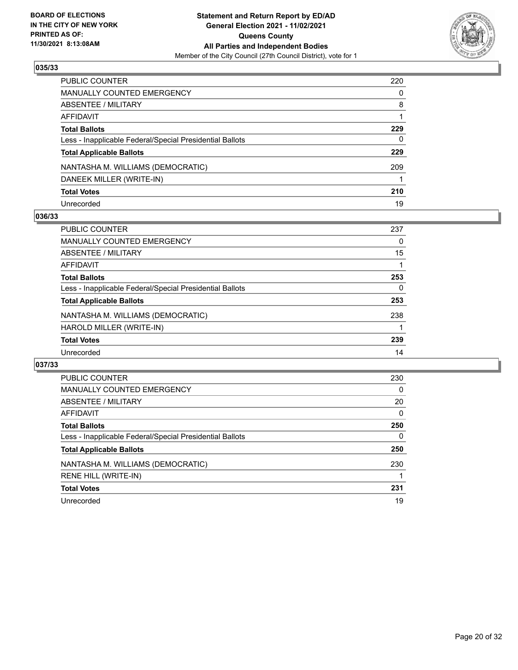

| PUBLIC COUNTER                                           | 220 |
|----------------------------------------------------------|-----|
| MANUALLY COUNTED EMERGENCY                               | 0   |
| ABSENTEE / MILITARY                                      | 8   |
| AFFIDAVIT                                                |     |
| <b>Total Ballots</b>                                     | 229 |
| Less - Inapplicable Federal/Special Presidential Ballots | 0   |
| <b>Total Applicable Ballots</b>                          | 229 |
| NANTASHA M. WILLIAMS (DEMOCRATIC)                        | 209 |
| DANEEK MILLER (WRITE-IN)                                 |     |
| <b>Total Votes</b>                                       | 210 |
| Unrecorded                                               | 19  |

## **036/33**

| <b>PUBLIC COUNTER</b>                                    | 237 |
|----------------------------------------------------------|-----|
| <b>MANUALLY COUNTED EMERGENCY</b>                        | 0   |
| ABSENTEE / MILITARY                                      | 15  |
| AFFIDAVIT                                                |     |
| <b>Total Ballots</b>                                     | 253 |
| Less - Inapplicable Federal/Special Presidential Ballots | 0   |
| <b>Total Applicable Ballots</b>                          | 253 |
| NANTASHA M. WILLIAMS (DEMOCRATIC)                        | 238 |
| HAROLD MILLER (WRITE-IN)                                 |     |
| <b>Total Votes</b>                                       | 239 |
| Unrecorded                                               | 14  |

| <b>PUBLIC COUNTER</b>                                    | 230      |
|----------------------------------------------------------|----------|
| <b>MANUALLY COUNTED EMERGENCY</b>                        | 0        |
| ABSENTEE / MILITARY                                      | 20       |
| <b>AFFIDAVIT</b>                                         | $\Omega$ |
| <b>Total Ballots</b>                                     | 250      |
| Less - Inapplicable Federal/Special Presidential Ballots | 0        |
| <b>Total Applicable Ballots</b>                          | 250      |
| NANTASHA M. WILLIAMS (DEMOCRATIC)                        | 230      |
| RENE HILL (WRITE-IN)                                     |          |
| <b>Total Votes</b>                                       | 231      |
| Unrecorded                                               | 19       |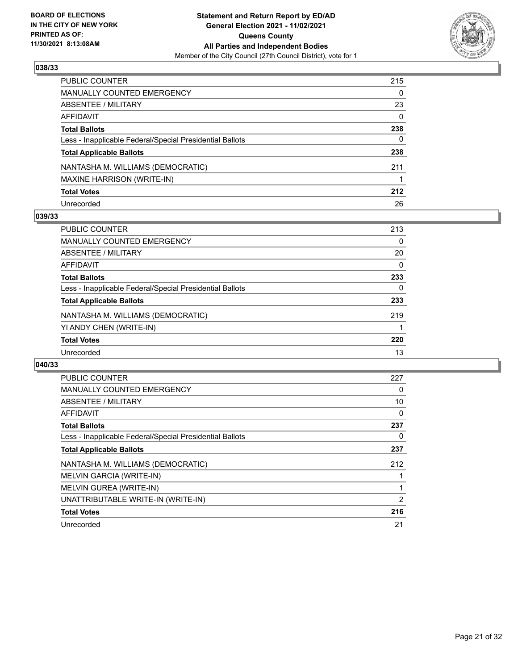

| PUBLIC COUNTER                                           | 215      |
|----------------------------------------------------------|----------|
| <b>MANUALLY COUNTED EMERGENCY</b>                        | $\Omega$ |
| <b>ABSENTEE / MILITARY</b>                               | 23       |
| AFFIDAVIT                                                | $\Omega$ |
| <b>Total Ballots</b>                                     | 238      |
| Less - Inapplicable Federal/Special Presidential Ballots | 0        |
| <b>Total Applicable Ballots</b>                          | 238      |
| NANTASHA M. WILLIAMS (DEMOCRATIC)                        | 211      |
| <b>MAXINE HARRISON (WRITE-IN)</b>                        |          |
| <b>Total Votes</b>                                       | 212      |
| Unrecorded                                               | 26       |

## **039/33**

| PUBLIC COUNTER                                           | 213      |
|----------------------------------------------------------|----------|
| MANUALLY COUNTED EMERGENCY                               | 0        |
| ABSENTEE / MILITARY                                      | 20       |
| AFFIDAVIT                                                | $\Omega$ |
| <b>Total Ballots</b>                                     | 233      |
| Less - Inapplicable Federal/Special Presidential Ballots | 0        |
| <b>Total Applicable Ballots</b>                          | 233      |
| NANTASHA M. WILLIAMS (DEMOCRATIC)                        | 219      |
| YI ANDY CHEN (WRITE-IN)                                  |          |
| <b>Total Votes</b>                                       | 220      |
| Unrecorded                                               | 13       |

| <b>PUBLIC COUNTER</b>                                    | 227 |
|----------------------------------------------------------|-----|
| <b>MANUALLY COUNTED EMERGENCY</b>                        | 0   |
| ABSENTEE / MILITARY                                      | 10  |
| AFFIDAVIT                                                | 0   |
| <b>Total Ballots</b>                                     | 237 |
| Less - Inapplicable Federal/Special Presidential Ballots | 0   |
| <b>Total Applicable Ballots</b>                          | 237 |
| NANTASHA M. WILLIAMS (DEMOCRATIC)                        | 212 |
| MELVIN GARCIA (WRITE-IN)                                 |     |
| MELVIN GUREA (WRITE-IN)                                  | 1   |
| UNATTRIBUTABLE WRITE-IN (WRITE-IN)                       | 2   |
| <b>Total Votes</b>                                       | 216 |
| Unrecorded                                               | 21  |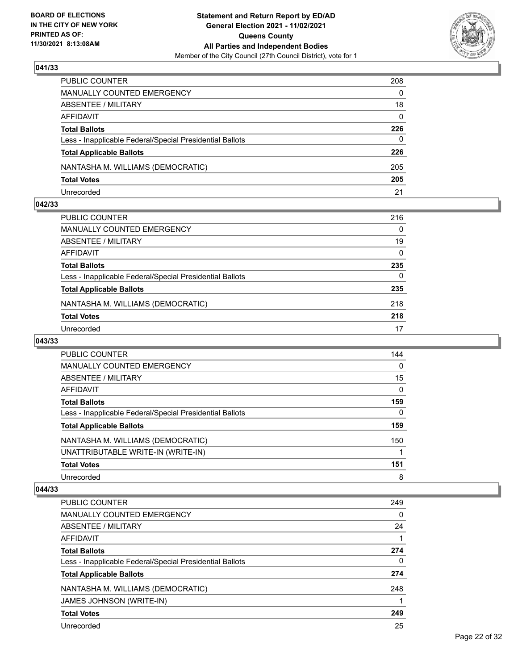

| PUBLIC COUNTER                                           | 208      |
|----------------------------------------------------------|----------|
| <b>MANUALLY COUNTED EMERGENCY</b>                        | $\Omega$ |
| ABSENTEE / MILITARY                                      | 18       |
| AFFIDAVIT                                                | 0        |
| <b>Total Ballots</b>                                     | 226      |
| Less - Inapplicable Federal/Special Presidential Ballots | 0        |
| <b>Total Applicable Ballots</b>                          | 226      |
| NANTASHA M. WILLIAMS (DEMOCRATIC)                        | 205      |
| <b>Total Votes</b>                                       | 205      |
| Unrecorded                                               | 21       |

## **042/33**

| PUBLIC COUNTER                                           | 216      |
|----------------------------------------------------------|----------|
| <b>MANUALLY COUNTED EMERGENCY</b>                        | 0        |
| ABSENTEE / MILITARY                                      | 19       |
| AFFIDAVIT                                                | $\Omega$ |
| <b>Total Ballots</b>                                     | 235      |
| Less - Inapplicable Federal/Special Presidential Ballots | 0        |
| <b>Total Applicable Ballots</b>                          | 235      |
| NANTASHA M. WILLIAMS (DEMOCRATIC)                        | 218      |
| <b>Total Votes</b>                                       | 218      |
| Unrecorded                                               | 17       |
|                                                          |          |

## **043/33**

| <b>PUBLIC COUNTER</b>                                    | 144      |
|----------------------------------------------------------|----------|
| MANUALLY COUNTED EMERGENCY                               | $\Omega$ |
| ABSENTEE / MILITARY                                      | 15       |
| AFFIDAVIT                                                | $\Omega$ |
| <b>Total Ballots</b>                                     | 159      |
| Less - Inapplicable Federal/Special Presidential Ballots | $\Omega$ |
| <b>Total Applicable Ballots</b>                          | 159      |
| NANTASHA M. WILLIAMS (DEMOCRATIC)                        | 150      |
| UNATTRIBUTABLE WRITE-IN (WRITE-IN)                       |          |
| <b>Total Votes</b>                                       | 151      |
| Unrecorded                                               | 8        |

| <b>PUBLIC COUNTER</b>                                    | 249      |
|----------------------------------------------------------|----------|
| MANUALLY COUNTED EMERGENCY                               | $\Omega$ |
| ABSENTEE / MILITARY                                      | 24       |
| AFFIDAVIT                                                |          |
| <b>Total Ballots</b>                                     | 274      |
| Less - Inapplicable Federal/Special Presidential Ballots | 0        |
| <b>Total Applicable Ballots</b>                          | 274      |
| NANTASHA M. WILLIAMS (DEMOCRATIC)                        | 248      |
| JAMES JOHNSON (WRITE-IN)                                 |          |
| <b>Total Votes</b>                                       | 249      |
| Unrecorded                                               | 25       |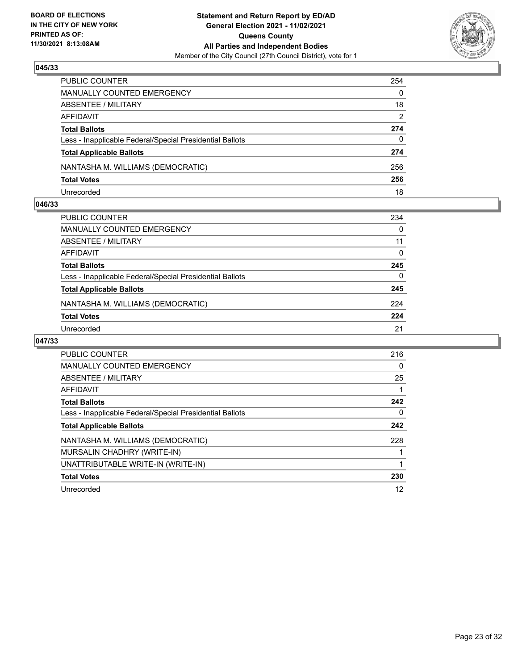

| PUBLIC COUNTER                                           | 254          |
|----------------------------------------------------------|--------------|
| MANUALLY COUNTED EMERGENCY                               | $\mathbf{0}$ |
| <b>ABSENTEE / MILITARY</b>                               | 18           |
| AFFIDAVIT                                                | 2            |
| <b>Total Ballots</b>                                     | 274          |
| Less - Inapplicable Federal/Special Presidential Ballots | $\mathbf{0}$ |
| <b>Total Applicable Ballots</b>                          | 274          |
| NANTASHA M. WILLIAMS (DEMOCRATIC)                        | 256          |
| <b>Total Votes</b>                                       | 256          |
| Unrecorded                                               | 18           |

## **046/33**

| PUBLIC COUNTER                                           | 234      |
|----------------------------------------------------------|----------|
| MANUALLY COUNTED EMERGENCY                               | $\Omega$ |
| ABSENTEE / MILITARY                                      | 11       |
| AFFIDAVIT                                                | $\Omega$ |
| <b>Total Ballots</b>                                     | 245      |
| Less - Inapplicable Federal/Special Presidential Ballots | 0        |
| <b>Total Applicable Ballots</b>                          | 245      |
| NANTASHA M. WILLIAMS (DEMOCRATIC)                        | 224      |
| <b>Total Votes</b>                                       | 224      |
| Unrecorded                                               | 21       |
|                                                          |          |

| <b>PUBLIC COUNTER</b>                                    | 216 |
|----------------------------------------------------------|-----|
| <b>MANUALLY COUNTED EMERGENCY</b>                        | 0   |
| ABSENTEE / MILITARY                                      | 25  |
| AFFIDAVIT                                                |     |
| <b>Total Ballots</b>                                     | 242 |
| Less - Inapplicable Federal/Special Presidential Ballots | 0   |
| <b>Total Applicable Ballots</b>                          | 242 |
| NANTASHA M. WILLIAMS (DEMOCRATIC)                        | 228 |
| MURSALIN CHADHRY (WRITE-IN)                              |     |
| UNATTRIBUTABLE WRITE-IN (WRITE-IN)                       |     |
| <b>Total Votes</b>                                       | 230 |
| Unrecorded                                               | 12  |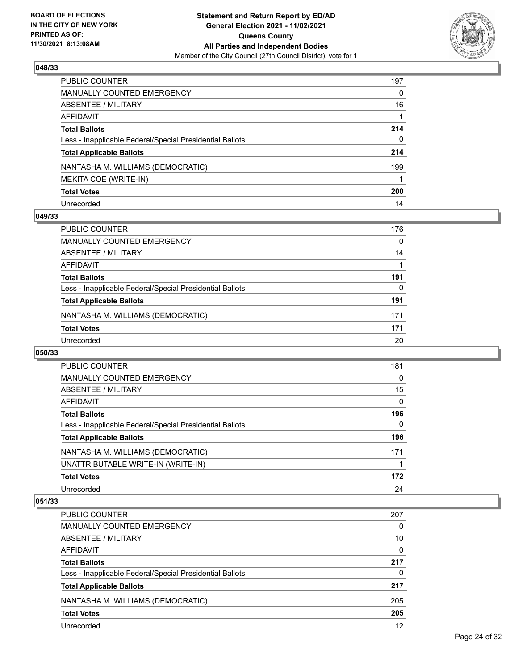

| PUBLIC COUNTER                                           | 197 |
|----------------------------------------------------------|-----|
| MANUALLY COUNTED EMERGENCY                               | 0   |
| ABSENTEE / MILITARY                                      | 16  |
| AFFIDAVIT                                                |     |
| <b>Total Ballots</b>                                     | 214 |
| Less - Inapplicable Federal/Special Presidential Ballots | 0   |
| <b>Total Applicable Ballots</b>                          | 214 |
| NANTASHA M. WILLIAMS (DEMOCRATIC)                        | 199 |
| MEKITA COE (WRITE-IN)                                    |     |
| <b>Total Votes</b>                                       | 200 |
| Unrecorded                                               | 14  |

## **049/33**

| <b>PUBLIC COUNTER</b>                                    | 176      |
|----------------------------------------------------------|----------|
| MANUALLY COUNTED EMERGENCY                               | $\Omega$ |
| ABSENTEE / MILITARY                                      | 14       |
| AFFIDAVIT                                                |          |
| <b>Total Ballots</b>                                     | 191      |
| Less - Inapplicable Federal/Special Presidential Ballots | 0        |
| <b>Total Applicable Ballots</b>                          | 191      |
| NANTASHA M. WILLIAMS (DEMOCRATIC)                        | 171      |
| <b>Total Votes</b>                                       | 171      |
| Unrecorded                                               | 20       |

## **050/33**

| <b>PUBLIC COUNTER</b>                                    | 181      |
|----------------------------------------------------------|----------|
| MANUALLY COUNTED EMERGENCY                               | 0        |
| ABSENTEE / MILITARY                                      | 15       |
| AFFIDAVIT                                                | $\Omega$ |
| <b>Total Ballots</b>                                     | 196      |
| Less - Inapplicable Federal/Special Presidential Ballots | 0        |
| <b>Total Applicable Ballots</b>                          | 196      |
| NANTASHA M. WILLIAMS (DEMOCRATIC)                        | 171      |
| UNATTRIBUTABLE WRITE-IN (WRITE-IN)                       |          |
| <b>Total Votes</b>                                       | 172      |
| Unrecorded                                               | 24       |

| <b>PUBLIC COUNTER</b>                                    | 207      |
|----------------------------------------------------------|----------|
| <b>MANUALLY COUNTED EMERGENCY</b>                        | 0        |
| ABSENTEE / MILITARY                                      | 10       |
| AFFIDAVIT                                                | $\Omega$ |
| <b>Total Ballots</b>                                     | 217      |
| Less - Inapplicable Federal/Special Presidential Ballots | 0        |
| <b>Total Applicable Ballots</b>                          | 217      |
| NANTASHA M. WILLIAMS (DEMOCRATIC)                        | 205      |
| <b>Total Votes</b>                                       | 205      |
| Unrecorded                                               | 12       |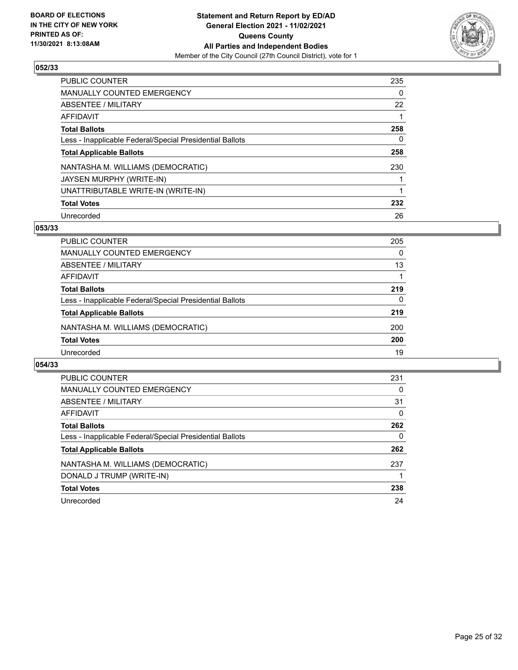

| <b>PUBLIC COUNTER</b>                                    | 235 |
|----------------------------------------------------------|-----|
| <b>MANUALLY COUNTED EMERGENCY</b>                        | 0   |
| ABSENTEE / MILITARY                                      | 22  |
| AFFIDAVIT                                                |     |
| <b>Total Ballots</b>                                     | 258 |
| Less - Inapplicable Federal/Special Presidential Ballots | 0   |
| <b>Total Applicable Ballots</b>                          | 258 |
| NANTASHA M. WILLIAMS (DEMOCRATIC)                        | 230 |
| JAYSEN MURPHY (WRITE-IN)                                 |     |
| UNATTRIBUTABLE WRITE-IN (WRITE-IN)                       |     |
| <b>Total Votes</b>                                       | 232 |
| Unrecorded                                               | 26  |

## **053/33**

| <b>PUBLIC COUNTER</b>                                    | 205      |
|----------------------------------------------------------|----------|
| MANUALLY COUNTED EMERGENCY                               | $\Omega$ |
| ABSENTEE / MILITARY                                      | 13       |
| AFFIDAVIT                                                |          |
| <b>Total Ballots</b>                                     | 219      |
| Less - Inapplicable Federal/Special Presidential Ballots | $\Omega$ |
| <b>Total Applicable Ballots</b>                          | 219      |
| NANTASHA M. WILLIAMS (DEMOCRATIC)                        | 200      |
| <b>Total Votes</b>                                       | 200      |
| Unrecorded                                               | 19       |

| <b>PUBLIC COUNTER</b>                                    | 231 |
|----------------------------------------------------------|-----|
| <b>MANUALLY COUNTED EMERGENCY</b>                        | 0   |
| ABSENTEE / MILITARY                                      | 31  |
| <b>AFFIDAVIT</b>                                         | 0   |
| <b>Total Ballots</b>                                     | 262 |
| Less - Inapplicable Federal/Special Presidential Ballots | 0   |
| <b>Total Applicable Ballots</b>                          | 262 |
| NANTASHA M. WILLIAMS (DEMOCRATIC)                        | 237 |
| DONALD J TRUMP (WRITE-IN)                                |     |
| <b>Total Votes</b>                                       | 238 |
| Unrecorded                                               | 24  |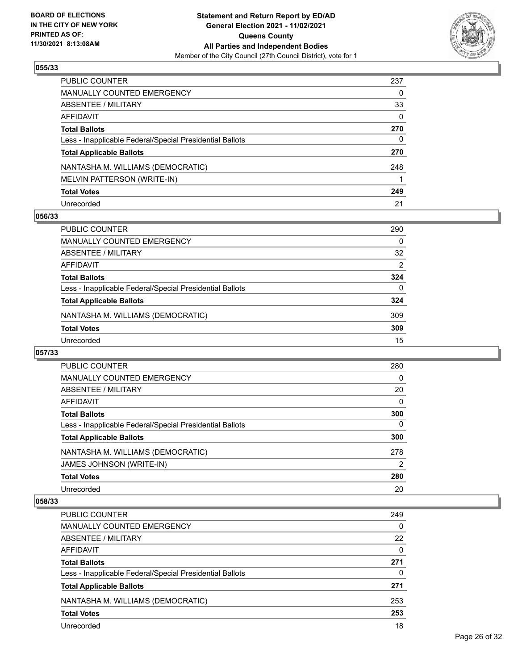

| PUBLIC COUNTER                                           | 237 |
|----------------------------------------------------------|-----|
| <b>MANUALLY COUNTED EMERGENCY</b>                        | 0   |
| <b>ABSENTEE / MILITARY</b>                               | 33  |
| AFFIDAVIT                                                | 0   |
| <b>Total Ballots</b>                                     | 270 |
| Less - Inapplicable Federal/Special Presidential Ballots | 0   |
| <b>Total Applicable Ballots</b>                          | 270 |
| NANTASHA M. WILLIAMS (DEMOCRATIC)                        | 248 |
| MELVIN PATTERSON (WRITE-IN)                              |     |
| <b>Total Votes</b>                                       | 249 |
| Unrecorded                                               | 21  |

## **056/33**

| <b>PUBLIC COUNTER</b>                                    | 290      |
|----------------------------------------------------------|----------|
| MANUALLY COUNTED EMERGENCY                               | $\Omega$ |
| ABSENTEE / MILITARY                                      | 32       |
| AFFIDAVIT                                                | 2        |
| <b>Total Ballots</b>                                     | 324      |
| Less - Inapplicable Federal/Special Presidential Ballots | 0        |
| <b>Total Applicable Ballots</b>                          | 324      |
| NANTASHA M. WILLIAMS (DEMOCRATIC)                        | 309      |
| <b>Total Votes</b>                                       | 309      |
| Unrecorded                                               | 15       |

## **057/33**

| <b>PUBLIC COUNTER</b>                                    | 280 |
|----------------------------------------------------------|-----|
| <b>MANUALLY COUNTED EMERGENCY</b>                        | 0   |
| ABSENTEE / MILITARY                                      | 20  |
| <b>AFFIDAVIT</b>                                         | 0   |
| <b>Total Ballots</b>                                     | 300 |
| Less - Inapplicable Federal/Special Presidential Ballots | 0   |
| <b>Total Applicable Ballots</b>                          | 300 |
| NANTASHA M. WILLIAMS (DEMOCRATIC)                        | 278 |
| <b>JAMES JOHNSON (WRITE-IN)</b>                          | 2   |
| <b>Total Votes</b>                                       | 280 |
| Unrecorded                                               | 20  |

| PUBLIC COUNTER                                           | 249      |
|----------------------------------------------------------|----------|
| MANUALLY COUNTED EMERGENCY                               | $\Omega$ |
| ABSENTEE / MILITARY                                      | 22       |
| AFFIDAVIT                                                | $\Omega$ |
| <b>Total Ballots</b>                                     | 271      |
| Less - Inapplicable Federal/Special Presidential Ballots | 0        |
| <b>Total Applicable Ballots</b>                          | 271      |
| NANTASHA M. WILLIAMS (DEMOCRATIC)                        | 253      |
| <b>Total Votes</b>                                       | 253      |
| Unrecorded                                               | 18       |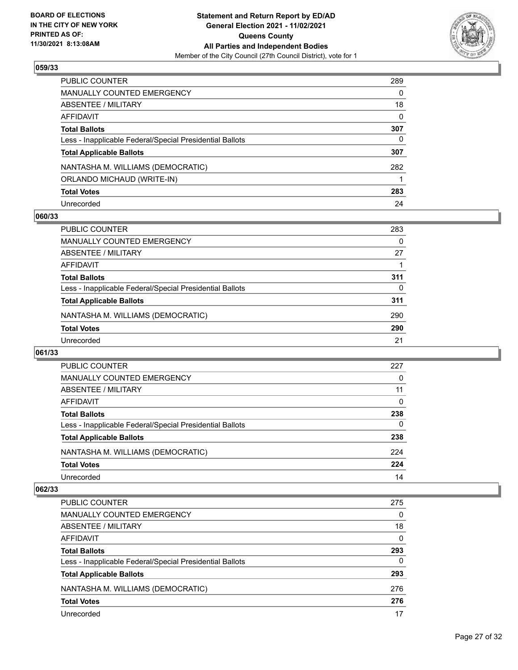

| PUBLIC COUNTER                                           | 289      |
|----------------------------------------------------------|----------|
| <b>MANUALLY COUNTED EMERGENCY</b>                        | 0        |
| <b>ABSENTEE / MILITARY</b>                               | 18       |
| AFFIDAVIT                                                | $\Omega$ |
| <b>Total Ballots</b>                                     | 307      |
| Less - Inapplicable Federal/Special Presidential Ballots | 0        |
| <b>Total Applicable Ballots</b>                          | 307      |
| NANTASHA M. WILLIAMS (DEMOCRATIC)                        | 282      |
| ORLANDO MICHAUD (WRITE-IN)                               |          |
| <b>Total Votes</b>                                       | 283      |
| Unrecorded                                               | 24       |

## **060/33**

| PUBLIC COUNTER                                           | 283 |
|----------------------------------------------------------|-----|
| <b>MANUALLY COUNTED EMERGENCY</b>                        | 0   |
| ABSENTEE / MILITARY                                      | 27  |
| AFFIDAVIT                                                |     |
| <b>Total Ballots</b>                                     | 311 |
| Less - Inapplicable Federal/Special Presidential Ballots | 0   |
| <b>Total Applicable Ballots</b>                          | 311 |
| NANTASHA M. WILLIAMS (DEMOCRATIC)                        | 290 |
| <b>Total Votes</b>                                       | 290 |
| Unrecorded                                               | 21  |

## **061/33**

| PUBLIC COUNTER                                           | 227 |
|----------------------------------------------------------|-----|
| <b>MANUALLY COUNTED EMERGENCY</b>                        | 0   |
| ABSENTEE / MILITARY                                      | 11  |
| AFFIDAVIT                                                | 0   |
| <b>Total Ballots</b>                                     | 238 |
| Less - Inapplicable Federal/Special Presidential Ballots | 0   |
| <b>Total Applicable Ballots</b>                          | 238 |
| NANTASHA M. WILLIAMS (DEMOCRATIC)                        | 224 |
| <b>Total Votes</b>                                       | 224 |
| Unrecorded                                               | 14  |

| PUBLIC COUNTER                                           | 275      |
|----------------------------------------------------------|----------|
| <b>MANUALLY COUNTED EMERGENCY</b>                        | 0        |
| ABSENTEE / MILITARY                                      | 18       |
| AFFIDAVIT                                                | $\Omega$ |
| <b>Total Ballots</b>                                     | 293      |
| Less - Inapplicable Federal/Special Presidential Ballots | $\Omega$ |
| <b>Total Applicable Ballots</b>                          | 293      |
| NANTASHA M. WILLIAMS (DEMOCRATIC)                        | 276      |
| <b>Total Votes</b>                                       | 276      |
| Unrecorded                                               | 17       |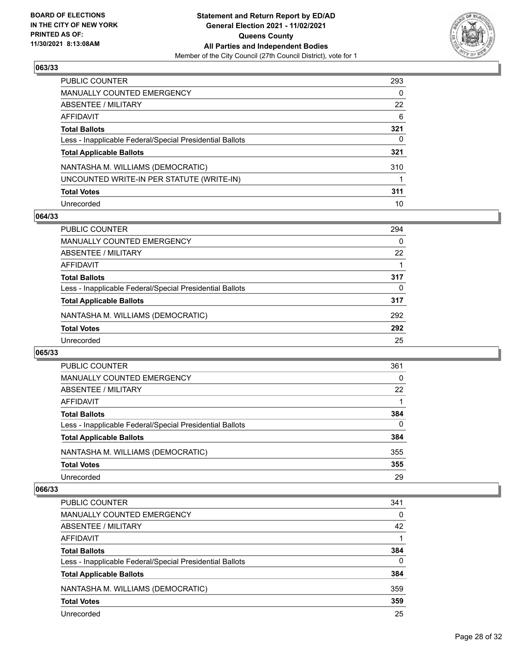

| PUBLIC COUNTER                                           | 293      |
|----------------------------------------------------------|----------|
| <b>MANUALLY COUNTED EMERGENCY</b>                        | $\Omega$ |
| <b>ABSENTEE / MILITARY</b>                               | 22       |
| <b>AFFIDAVIT</b>                                         | 6        |
| <b>Total Ballots</b>                                     | 321      |
| Less - Inapplicable Federal/Special Presidential Ballots | 0        |
| <b>Total Applicable Ballots</b>                          | 321      |
| NANTASHA M. WILLIAMS (DEMOCRATIC)                        | 310      |
| UNCOUNTED WRITE-IN PER STATUTE (WRITE-IN)                |          |
| <b>Total Votes</b>                                       | 311      |
| Unrecorded                                               | 10       |

## **064/33**

| PUBLIC COUNTER                                           | 294      |
|----------------------------------------------------------|----------|
| <b>MANUALLY COUNTED EMERGENCY</b>                        | $\Omega$ |
| ABSENTEE / MILITARY                                      | 22       |
| AFFIDAVIT                                                |          |
| <b>Total Ballots</b>                                     | 317      |
| Less - Inapplicable Federal/Special Presidential Ballots | 0        |
| <b>Total Applicable Ballots</b>                          | 317      |
| NANTASHA M. WILLIAMS (DEMOCRATIC)                        | 292      |
| <b>Total Votes</b>                                       | 292      |
| Unrecorded                                               | 25       |

## **065/33**

| <b>PUBLIC COUNTER</b>                                    | 361      |
|----------------------------------------------------------|----------|
| <b>MANUALLY COUNTED EMERGENCY</b>                        | $\Omega$ |
| ABSENTEE / MILITARY                                      | 22       |
| AFFIDAVIT                                                |          |
| <b>Total Ballots</b>                                     | 384      |
| Less - Inapplicable Federal/Special Presidential Ballots | $\Omega$ |
| <b>Total Applicable Ballots</b>                          | 384      |
| NANTASHA M. WILLIAMS (DEMOCRATIC)                        | 355      |
| <b>Total Votes</b>                                       | 355      |
| Unrecorded                                               | 29       |

| <b>PUBLIC COUNTER</b>                                    | 341      |
|----------------------------------------------------------|----------|
| <b>MANUALLY COUNTED EMERGENCY</b>                        | 0        |
| ABSENTEE / MILITARY                                      | 42       |
| AFFIDAVIT                                                |          |
| <b>Total Ballots</b>                                     | 384      |
| Less - Inapplicable Federal/Special Presidential Ballots | $\Omega$ |
| <b>Total Applicable Ballots</b>                          | 384      |
| NANTASHA M. WILLIAMS (DEMOCRATIC)                        | 359      |
| <b>Total Votes</b>                                       | 359      |
| Unrecorded                                               | 25       |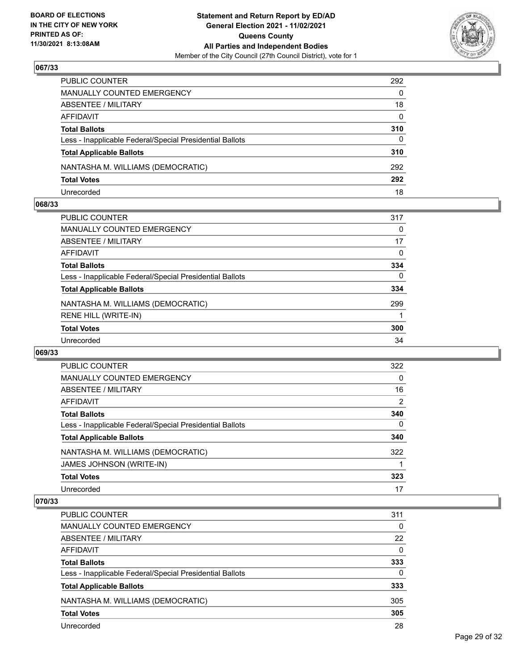

| PUBLIC COUNTER                                           | 292          |
|----------------------------------------------------------|--------------|
| <b>MANUALLY COUNTED EMERGENCY</b>                        | $\Omega$     |
| ABSENTEE / MILITARY                                      | 18           |
| AFFIDAVIT                                                | $\mathbf{0}$ |
| <b>Total Ballots</b>                                     | 310          |
| Less - Inapplicable Federal/Special Presidential Ballots | $\mathbf{0}$ |
| <b>Total Applicable Ballots</b>                          | 310          |
| NANTASHA M. WILLIAMS (DEMOCRATIC)                        | 292          |
| <b>Total Votes</b>                                       | 292          |
| Unrecorded                                               | 18           |

## **068/33**

| <b>PUBLIC COUNTER</b>                                    | 317 |
|----------------------------------------------------------|-----|
| MANUALLY COUNTED EMERGENCY                               | 0   |
| ABSENTEE / MILITARY                                      | 17  |
| AFFIDAVIT                                                | 0   |
| <b>Total Ballots</b>                                     | 334 |
| Less - Inapplicable Federal/Special Presidential Ballots | 0   |
| <b>Total Applicable Ballots</b>                          | 334 |
| NANTASHA M. WILLIAMS (DEMOCRATIC)                        | 299 |
| RENE HILL (WRITE-IN)                                     |     |
| <b>Total Votes</b>                                       | 300 |
| Unrecorded                                               | 34  |
|                                                          |     |

## **069/33**

| <b>PUBLIC COUNTER</b>                                    | 322 |
|----------------------------------------------------------|-----|
| <b>MANUALLY COUNTED EMERGENCY</b>                        | 0   |
| ABSENTEE / MILITARY                                      | 16  |
| <b>AFFIDAVIT</b>                                         | 2   |
| <b>Total Ballots</b>                                     | 340 |
| Less - Inapplicable Federal/Special Presidential Ballots | 0   |
| <b>Total Applicable Ballots</b>                          | 340 |
| NANTASHA M. WILLIAMS (DEMOCRATIC)                        | 322 |
| JAMES JOHNSON (WRITE-IN)                                 |     |
| <b>Total Votes</b>                                       | 323 |
| Unrecorded                                               | 17  |

| PUBLIC COUNTER                                           | 311      |
|----------------------------------------------------------|----------|
| MANUALLY COUNTED EMERGENCY                               | $\Omega$ |
| ABSENTEE / MILITARY                                      | 22       |
| AFFIDAVIT                                                | $\Omega$ |
| <b>Total Ballots</b>                                     | 333      |
| Less - Inapplicable Federal/Special Presidential Ballots | $\Omega$ |
| <b>Total Applicable Ballots</b>                          | 333      |
| NANTASHA M. WILLIAMS (DEMOCRATIC)                        | 305      |
| <b>Total Votes</b>                                       | 305      |
| Unrecorded                                               | 28       |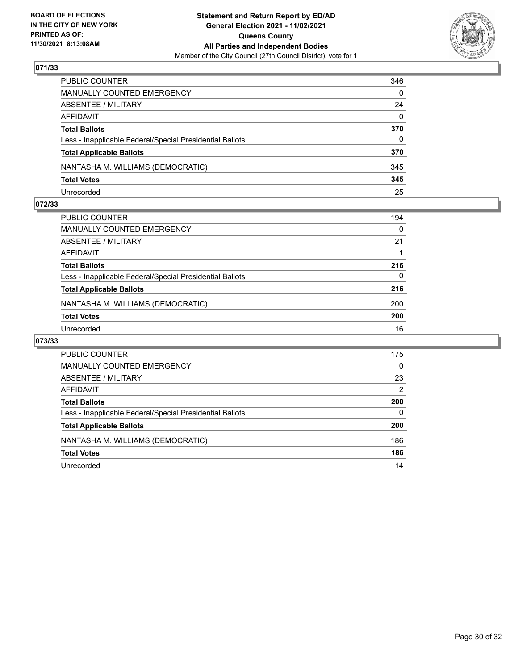

| PUBLIC COUNTER                                           | 346          |
|----------------------------------------------------------|--------------|
| MANUALLY COUNTED EMERGENCY                               | $\mathbf{0}$ |
| ABSENTEE / MILITARY                                      | 24           |
| AFFIDAVIT                                                | $\mathbf{0}$ |
| Total Ballots                                            | 370          |
| Less - Inapplicable Federal/Special Presidential Ballots | $\Omega$     |
| <b>Total Applicable Ballots</b>                          | 370          |
| NANTASHA M. WILLIAMS (DEMOCRATIC)                        | 345          |
| <b>Total Votes</b>                                       | 345          |
| Unrecorded                                               | 25           |

## **072/33**

| <b>PUBLIC COUNTER</b>                                    | 194      |
|----------------------------------------------------------|----------|
| MANUALLY COUNTED EMERGENCY                               | $\Omega$ |
| <b>ABSENTEE / MILITARY</b>                               | 21       |
| AFFIDAVIT                                                |          |
| <b>Total Ballots</b>                                     | 216      |
| Less - Inapplicable Federal/Special Presidential Ballots | 0        |
| <b>Total Applicable Ballots</b>                          | 216      |
| NANTASHA M. WILLIAMS (DEMOCRATIC)                        | 200      |
| <b>Total Votes</b>                                       | 200      |
| Unrecorded                                               | 16       |
|                                                          |          |

| <b>PUBLIC COUNTER</b>                                    | 175           |
|----------------------------------------------------------|---------------|
| MANUALLY COUNTED EMERGENCY                               | $\Omega$      |
| ABSENTEE / MILITARY                                      | 23            |
| AFFIDAVIT                                                | $\mathcal{P}$ |
| <b>Total Ballots</b>                                     | 200           |
| Less - Inapplicable Federal/Special Presidential Ballots | 0             |
| <b>Total Applicable Ballots</b>                          | 200           |
| NANTASHA M. WILLIAMS (DEMOCRATIC)                        | 186           |
| <b>Total Votes</b>                                       | 186           |
| Unrecorded                                               | 14            |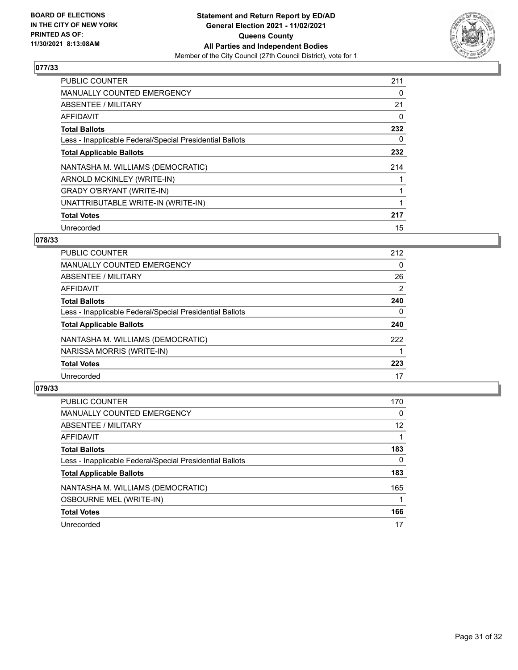

| <b>PUBLIC COUNTER</b>                                    | 211 |
|----------------------------------------------------------|-----|
| MANUALLY COUNTED EMERGENCY                               | 0   |
| ABSENTEE / MILITARY                                      | 21  |
| <b>AFFIDAVIT</b>                                         | 0   |
| <b>Total Ballots</b>                                     | 232 |
| Less - Inapplicable Federal/Special Presidential Ballots | 0   |
| <b>Total Applicable Ballots</b>                          | 232 |
| NANTASHA M. WILLIAMS (DEMOCRATIC)                        | 214 |
| ARNOLD MCKINLEY (WRITE-IN)                               |     |
| <b>GRADY O'BRYANT (WRITE-IN)</b>                         |     |
| UNATTRIBUTABLE WRITE-IN (WRITE-IN)                       |     |
| <b>Total Votes</b>                                       | 217 |
| Unrecorded                                               | 15  |

## **078/33**

| 212      |
|----------|
| $\Omega$ |
| 26       |
| 2        |
| 240      |
| 0        |
| 240      |
| 222      |
|          |
| 223      |
| 17       |
|          |

| <b>PUBLIC COUNTER</b>                                    | 170      |
|----------------------------------------------------------|----------|
| <b>MANUALLY COUNTED EMERGENCY</b>                        | $\Omega$ |
| ABSENTEE / MILITARY                                      | 12       |
| AFFIDAVIT                                                |          |
| <b>Total Ballots</b>                                     | 183      |
| Less - Inapplicable Federal/Special Presidential Ballots | 0        |
| <b>Total Applicable Ballots</b>                          | 183      |
| NANTASHA M. WILLIAMS (DEMOCRATIC)                        | 165      |
| <b>OSBOURNE MEL (WRITE-IN)</b>                           |          |
| <b>Total Votes</b>                                       | 166      |
| Unrecorded                                               | 17       |